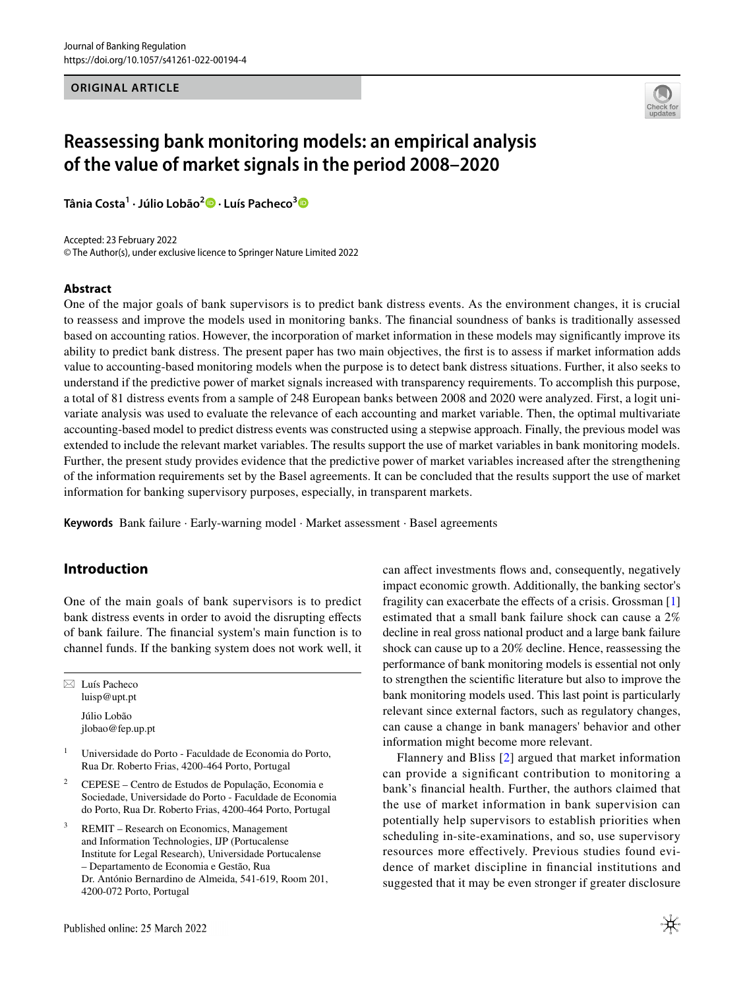**ORIGINAL ARTICLE**



# **Reassessing bank monitoring models: an empirical analysis of the value of market signals in the period 2008–2020**

**Tânia Costa1 · Júlio Lobão[2](http://orcid.org/0000-0001-5896-9648) · Luís Pacheco[3](http://orcid.org/0000-0002-9066-6441)**

Accepted: 23 February 2022 © The Author(s), under exclusive licence to Springer Nature Limited 2022

## **Abstract**

One of the major goals of bank supervisors is to predict bank distress events. As the environment changes, it is crucial to reassess and improve the models used in monitoring banks. The fnancial soundness of banks is traditionally assessed based on accounting ratios. However, the incorporation of market information in these models may signifcantly improve its ability to predict bank distress. The present paper has two main objectives, the frst is to assess if market information adds value to accounting-based monitoring models when the purpose is to detect bank distress situations. Further, it also seeks to understand if the predictive power of market signals increased with transparency requirements. To accomplish this purpose, a total of 81 distress events from a sample of 248 European banks between 2008 and 2020 were analyzed. First, a logit univariate analysis was used to evaluate the relevance of each accounting and market variable. Then, the optimal multivariate accounting-based model to predict distress events was constructed using a stepwise approach. Finally, the previous model was extended to include the relevant market variables. The results support the use of market variables in bank monitoring models. Further, the present study provides evidence that the predictive power of market variables increased after the strengthening of the information requirements set by the Basel agreements. It can be concluded that the results support the use of market information for banking supervisory purposes, especially, in transparent markets.

**Keywords** Bank failure · Early-warning model · Market assessment · Basel agreements

# **Introduction**

One of the main goals of bank supervisors is to predict bank distress events in order to avoid the disrupting efects of bank failure. The fnancial system's main function is to channel funds. If the banking system does not work well, it

 $\boxtimes$  Luís Pacheco luisp@upt.pt Júlio Lobão jlobao@fep.up.pt

- <sup>1</sup> Universidade do Porto Faculdade de Economia do Porto, Rua Dr. Roberto Frias, 4200-464 Porto, Portugal
- <sup>2</sup> CEPESE Centro de Estudos de População, Economia e Sociedade, Universidade do Porto - Faculdade de Economia do Porto, Rua Dr. Roberto Frias, 4200-464 Porto, Portugal
- <sup>3</sup> REMIT Research on Economics, Management and Information Technologies, IJP (Portucalense Institute for Legal Research), Universidade Portucalense – Departamento de Economia e Gestão, Rua Dr. António Bernardino de Almeida, 541-619, Room 201, 4200-072 Porto, Portugal

Published online: 25 March 2022

can affect investments flows and, consequently, negatively impact economic growth. Additionally, the banking sector's fragility can exacerbate the efects of a crisis. Grossman [[1\]](#page-20-0) estimated that a small bank failure shock can cause a 2% decline in real gross national product and a large bank failure shock can cause up to a 20% decline. Hence, reassessing the performance of bank monitoring models is essential not only to strengthen the scientifc literature but also to improve the bank monitoring models used. This last point is particularly relevant since external factors, such as regulatory changes, can cause a change in bank managers' behavior and other information might become more relevant.

Flannery and Bliss [[2\]](#page-20-1) argued that market information can provide a signifcant contribution to monitoring a bank's fnancial health. Further, the authors claimed that the use of market information in bank supervision can potentially help supervisors to establish priorities when scheduling in-site-examinations, and so, use supervisory resources more efectively. Previous studies found evidence of market discipline in fnancial institutions and suggested that it may be even stronger if greater disclosure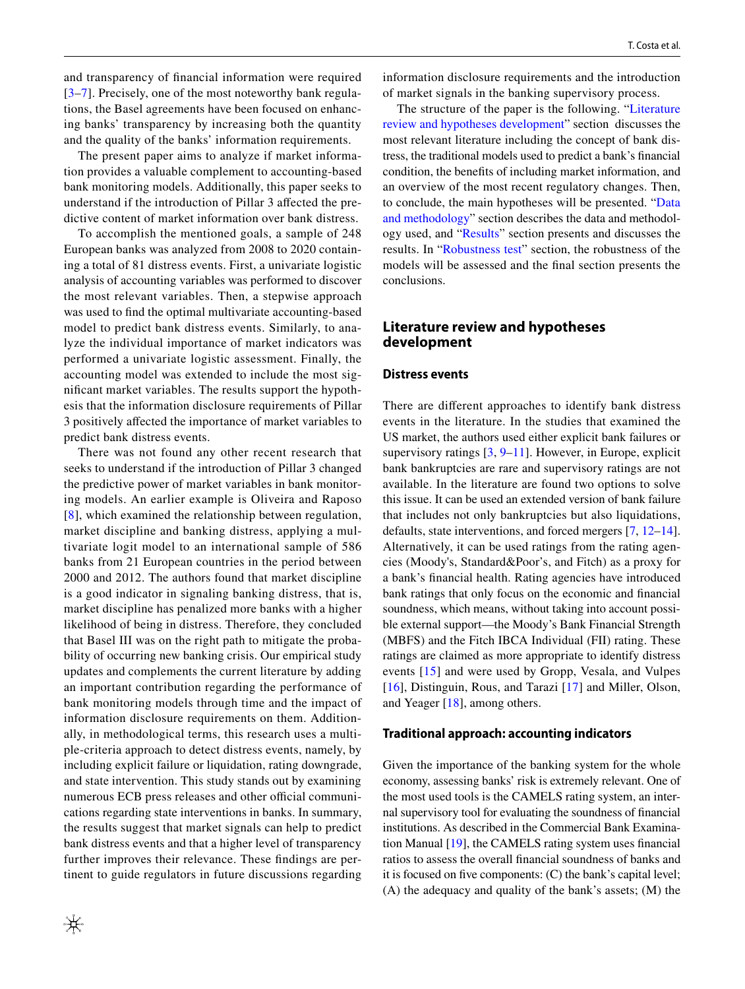and transparency of fnancial information were required [[3–](#page-20-2)[7](#page-20-3)]. Precisely, one of the most noteworthy bank regulations, the Basel agreements have been focused on enhancing banks' transparency by increasing both the quantity and the quality of the banks' information requirements.

The present paper aims to analyze if market information provides a valuable complement to accounting-based bank monitoring models. Additionally, this paper seeks to understand if the introduction of Pillar 3 afected the predictive content of market information over bank distress.

To accomplish the mentioned goals, a sample of 248 European banks was analyzed from 2008 to 2020 containing a total of 81 distress events. First, a univariate logistic analysis of accounting variables was performed to discover the most relevant variables. Then, a stepwise approach was used to fnd the optimal multivariate accounting-based model to predict bank distress events. Similarly, to analyze the individual importance of market indicators was performed a univariate logistic assessment. Finally, the accounting model was extended to include the most signifcant market variables. The results support the hypothesis that the information disclosure requirements of Pillar 3 positively afected the importance of market variables to predict bank distress events.

There was not found any other recent research that seeks to understand if the introduction of Pillar 3 changed the predictive power of market variables in bank monitoring models. An earlier example is Oliveira and Raposo [[8\]](#page-20-4), which examined the relationship between regulation, market discipline and banking distress, applying a multivariate logit model to an international sample of 586 banks from 21 European countries in the period between 2000 and 2012. The authors found that market discipline is a good indicator in signaling banking distress, that is, market discipline has penalized more banks with a higher likelihood of being in distress. Therefore, they concluded that Basel III was on the right path to mitigate the probability of occurring new banking crisis. Our empirical study updates and complements the current literature by adding an important contribution regarding the performance of bank monitoring models through time and the impact of information disclosure requirements on them. Additionally, in methodological terms, this research uses a multiple-criteria approach to detect distress events, namely, by including explicit failure or liquidation, rating downgrade, and state intervention. This study stands out by examining numerous ECB press releases and other official communications regarding state interventions in banks. In summary, the results suggest that market signals can help to predict bank distress events and that a higher level of transparency further improves their relevance. These fndings are pertinent to guide regulators in future discussions regarding information disclosure requirements and the introduction of market signals in the banking supervisory process.

The structure of the paper is the following. "[Literature](#page-1-0) [review and hypotheses development](#page-1-0)" section discusses the most relevant literature including the concept of bank distress, the traditional models used to predict a bank's fnancial condition, the benefts of including market information, and an overview of the most recent regulatory changes. Then, to conclude, the main hypotheses will be presented. "[Data](#page-5-0) [and methodology"](#page-5-0) section describes the data and methodology used, and "[Results](#page-10-0)" section presents and discusses the results. In ["Robustness test](#page-17-0)" section, the robustness of the models will be assessed and the fnal section presents the conclusions.

# <span id="page-1-0"></span>**Literature review and hypotheses development**

#### **Distress events**

There are diferent approaches to identify bank distress events in the literature. In the studies that examined the US market, the authors used either explicit bank failures or supervisory ratings  $[3, 9-11]$  $[3, 9-11]$  $[3, 9-11]$  $[3, 9-11]$  $[3, 9-11]$ . However, in Europe, explicit bank bankruptcies are rare and supervisory ratings are not available. In the literature are found two options to solve this issue. It can be used an extended version of bank failure that includes not only bankruptcies but also liquidations, defaults, state interventions, and forced mergers [\[7](#page-20-3), [12](#page-20-7)[–14](#page-20-8)]. Alternatively, it can be used ratings from the rating agencies (Moody's, Standard&Poor's, and Fitch) as a proxy for a bank's fnancial health. Rating agencies have introduced bank ratings that only focus on the economic and fnancial soundness, which means, without taking into account possible external support—the Moody's Bank Financial Strength (MBFS) and the Fitch IBCA Individual (FII) rating. These ratings are claimed as more appropriate to identify distress events [[15](#page-20-9)] and were used by Gropp, Vesala, and Vulpes [[16\]](#page-20-10), Distinguin, Rous, and Tarazi [[17\]](#page-20-11) and Miller, Olson, and Yeager [\[18](#page-20-12)], among others.

#### **Traditional approach: accounting indicators**

Given the importance of the banking system for the whole economy, assessing banks' risk is extremely relevant. One of the most used tools is the CAMELS rating system, an internal supervisory tool for evaluating the soundness of fnancial institutions. As described in the Commercial Bank Examination Manual [[19\]](#page-20-13), the CAMELS rating system uses fnancial ratios to assess the overall fnancial soundness of banks and it is focused on fve components: (C) the bank's capital level; (A) the adequacy and quality of the bank's assets; (M) the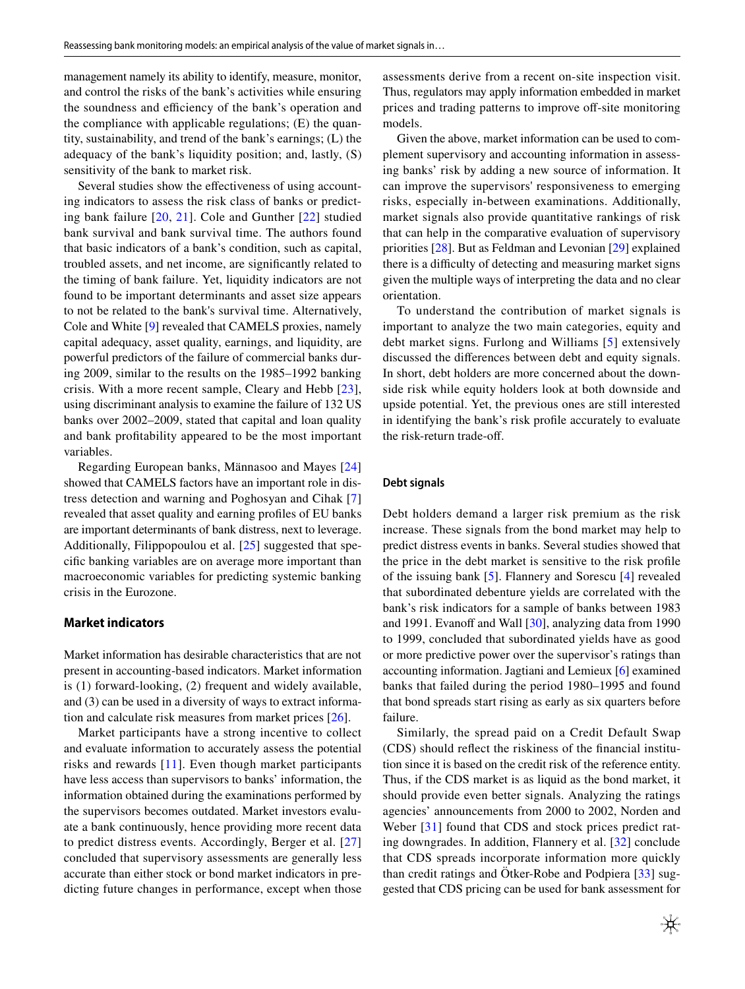management namely its ability to identify, measure, monitor, and control the risks of the bank's activities while ensuring the soundness and efficiency of the bank's operation and the compliance with applicable regulations; (E) the quantity, sustainability, and trend of the bank's earnings; (L) the adequacy of the bank's liquidity position; and, lastly, (S) sensitivity of the bank to market risk.

Several studies show the efectiveness of using accounting indicators to assess the risk class of banks or predicting bank failure [[20,](#page-20-14) [21](#page-20-15)]. Cole and Gunther [\[22\]](#page-20-16) studied bank survival and bank survival time. The authors found that basic indicators of a bank's condition, such as capital, troubled assets, and net income, are signifcantly related to the timing of bank failure. Yet, liquidity indicators are not found to be important determinants and asset size appears to not be related to the bank's survival time. Alternatively, Cole and White [\[9](#page-20-5)] revealed that CAMELS proxies, namely capital adequacy, asset quality, earnings, and liquidity, are powerful predictors of the failure of commercial banks during 2009, similar to the results on the 1985–1992 banking crisis. With a more recent sample, Cleary and Hebb [[23](#page-20-17)], using discriminant analysis to examine the failure of 132 US banks over 2002–2009, stated that capital and loan quality and bank proftability appeared to be the most important variables.

Regarding European banks, Männasoo and Mayes [[24\]](#page-20-18) showed that CAMELS factors have an important role in distress detection and warning and Poghosyan and Cihak [[7\]](#page-20-3) revealed that asset quality and earning profles of EU banks are important determinants of bank distress, next to leverage. Additionally, Filippopoulou et al. [\[25\]](#page-20-19) suggested that specifc banking variables are on average more important than macroeconomic variables for predicting systemic banking crisis in the Eurozone.

# **Market indicators**

Market information has desirable characteristics that are not present in accounting-based indicators. Market information is (1) forward-looking, (2) frequent and widely available, and (3) can be used in a diversity of ways to extract information and calculate risk measures from market prices [[26\]](#page-20-20).

Market participants have a strong incentive to collect and evaluate information to accurately assess the potential risks and rewards [[11](#page-20-6)]. Even though market participants have less access than supervisors to banks' information, the information obtained during the examinations performed by the supervisors becomes outdated. Market investors evaluate a bank continuously, hence providing more recent data to predict distress events. Accordingly, Berger et al. [\[27\]](#page-20-21) concluded that supervisory assessments are generally less accurate than either stock or bond market indicators in predicting future changes in performance, except when those assessments derive from a recent on-site inspection visit. Thus, regulators may apply information embedded in market prices and trading patterns to improve off-site monitoring models.

Given the above, market information can be used to complement supervisory and accounting information in assessing banks' risk by adding a new source of information. It can improve the supervisors' responsiveness to emerging risks, especially in-between examinations. Additionally, market signals also provide quantitative rankings of risk that can help in the comparative evaluation of supervisory priorities [\[28](#page-20-22)]. But as Feldman and Levonian [[29\]](#page-20-23) explained there is a difficulty of detecting and measuring market signs given the multiple ways of interpreting the data and no clear orientation.

To understand the contribution of market signals is important to analyze the two main categories, equity and debt market signs. Furlong and Williams [[5\]](#page-20-24) extensively discussed the diferences between debt and equity signals. In short, debt holders are more concerned about the downside risk while equity holders look at both downside and upside potential. Yet, the previous ones are still interested in identifying the bank's risk profle accurately to evaluate the risk-return trade-of.

## **Debt signals**

Debt holders demand a larger risk premium as the risk increase. These signals from the bond market may help to predict distress events in banks. Several studies showed that the price in the debt market is sensitive to the risk profle of the issuing bank [\[5](#page-20-24)]. Flannery and Sorescu [\[4](#page-20-25)] revealed that subordinated debenture yields are correlated with the bank's risk indicators for a sample of banks between 1983 and 1991. Evanoff and Wall  $[30]$ , analyzing data from 1990 to 1999, concluded that subordinated yields have as good or more predictive power over the supervisor's ratings than accounting information. Jagtiani and Lemieux [\[6](#page-20-27)] examined banks that failed during the period 1980–1995 and found that bond spreads start rising as early as six quarters before failure.

Similarly, the spread paid on a Credit Default Swap (CDS) should refect the riskiness of the fnancial institution since it is based on the credit risk of the reference entity. Thus, if the CDS market is as liquid as the bond market, it should provide even better signals. Analyzing the ratings agencies' announcements from 2000 to 2002, Norden and Weber [[31](#page-20-28)] found that CDS and stock prices predict rating downgrades. In addition, Flannery et al. [\[32](#page-20-29)] conclude that CDS spreads incorporate information more quickly than credit ratings and Ötker-Robe and Podpiera [\[33\]](#page-20-30) suggested that CDS pricing can be used for bank assessment for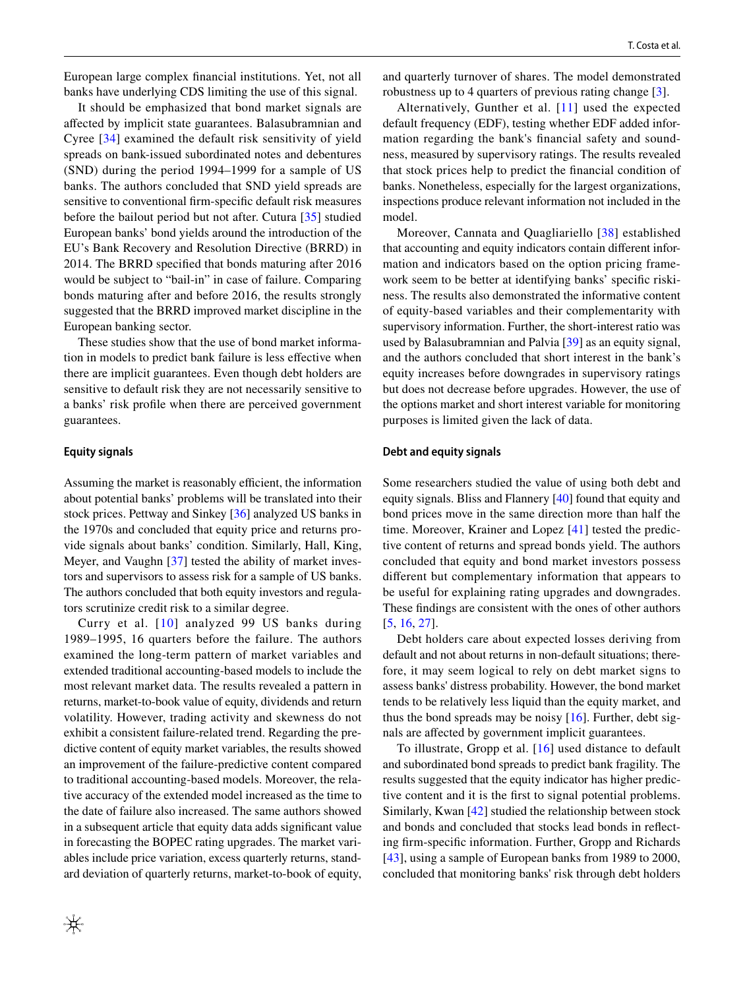European large complex fnancial institutions. Yet, not all banks have underlying CDS limiting the use of this signal.

It should be emphasized that bond market signals are afected by implicit state guarantees. Balasubramnian and Cyree [[34\]](#page-21-0) examined the default risk sensitivity of yield spreads on bank-issued subordinated notes and debentures (SND) during the period 1994–1999 for a sample of US banks. The authors concluded that SND yield spreads are sensitive to conventional frm-specifc default risk measures before the bailout period but not after. Cutura [[35\]](#page-21-1) studied European banks' bond yields around the introduction of the EU's Bank Recovery and Resolution Directive (BRRD) in 2014. The BRRD specifed that bonds maturing after 2016 would be subject to "bail-in" in case of failure. Comparing bonds maturing after and before 2016, the results strongly suggested that the BRRD improved market discipline in the European banking sector.

These studies show that the use of bond market information in models to predict bank failure is less efective when there are implicit guarantees. Even though debt holders are sensitive to default risk they are not necessarily sensitive to a banks' risk profle when there are perceived government guarantees.

## **Equity signals**

Assuming the market is reasonably efficient, the information about potential banks' problems will be translated into their stock prices. Pettway and Sinkey [[36](#page-21-2)] analyzed US banks in the 1970s and concluded that equity price and returns provide signals about banks' condition. Similarly, Hall, King, Meyer, and Vaughn [[37\]](#page-21-3) tested the ability of market investors and supervisors to assess risk for a sample of US banks. The authors concluded that both equity investors and regulators scrutinize credit risk to a similar degree.

Curry et al. [[10](#page-20-31)] analyzed 99 US banks during 1989–1995, 16 quarters before the failure. The authors examined the long-term pattern of market variables and extended traditional accounting-based models to include the most relevant market data. The results revealed a pattern in returns, market-to-book value of equity, dividends and return volatility. However, trading activity and skewness do not exhibit a consistent failure-related trend. Regarding the predictive content of equity market variables, the results showed an improvement of the failure-predictive content compared to traditional accounting-based models. Moreover, the relative accuracy of the extended model increased as the time to the date of failure also increased. The same authors showed in a subsequent article that equity data adds signifcant value in forecasting the BOPEC rating upgrades. The market variables include price variation, excess quarterly returns, standard deviation of quarterly returns, market-to-book of equity, and quarterly turnover of shares. The model demonstrated robustness up to 4 quarters of previous rating change [[3\]](#page-20-2).

Alternatively, Gunther et al. [\[11\]](#page-20-6) used the expected default frequency (EDF), testing whether EDF added information regarding the bank's fnancial safety and soundness, measured by supervisory ratings. The results revealed that stock prices help to predict the fnancial condition of banks. Nonetheless, especially for the largest organizations, inspections produce relevant information not included in the model.

Moreover, Cannata and Quagliariello [[38](#page-21-4)] established that accounting and equity indicators contain diferent information and indicators based on the option pricing framework seem to be better at identifying banks' specifc riskiness. The results also demonstrated the informative content of equity-based variables and their complementarity with supervisory information. Further, the short-interest ratio was used by Balasubramnian and Palvia [[39\]](#page-21-5) as an equity signal, and the authors concluded that short interest in the bank's equity increases before downgrades in supervisory ratings but does not decrease before upgrades. However, the use of the options market and short interest variable for monitoring purposes is limited given the lack of data.

### **Debt and equity signals**

Some researchers studied the value of using both debt and equity signals. Bliss and Flannery [\[40\]](#page-21-6) found that equity and bond prices move in the same direction more than half the time. Moreover, Krainer and Lopez [\[41](#page-21-7)] tested the predictive content of returns and spread bonds yield. The authors concluded that equity and bond market investors possess diferent but complementary information that appears to be useful for explaining rating upgrades and downgrades. These fndings are consistent with the ones of other authors [[5,](#page-20-24) [16,](#page-20-10) [27\]](#page-20-21).

Debt holders care about expected losses deriving from default and not about returns in non-default situations; therefore, it may seem logical to rely on debt market signs to assess banks' distress probability. However, the bond market tends to be relatively less liquid than the equity market, and thus the bond spreads may be noisy [[16\]](#page-20-10). Further, debt signals are afected by government implicit guarantees.

To illustrate, Gropp et al. [\[16\]](#page-20-10) used distance to default and subordinated bond spreads to predict bank fragility. The results suggested that the equity indicator has higher predictive content and it is the frst to signal potential problems. Similarly, Kwan [[42\]](#page-21-8) studied the relationship between stock and bonds and concluded that stocks lead bonds in refecting frm-specifc information. Further, Gropp and Richards [[43\]](#page-21-9), using a sample of European banks from 1989 to 2000, concluded that monitoring banks' risk through debt holders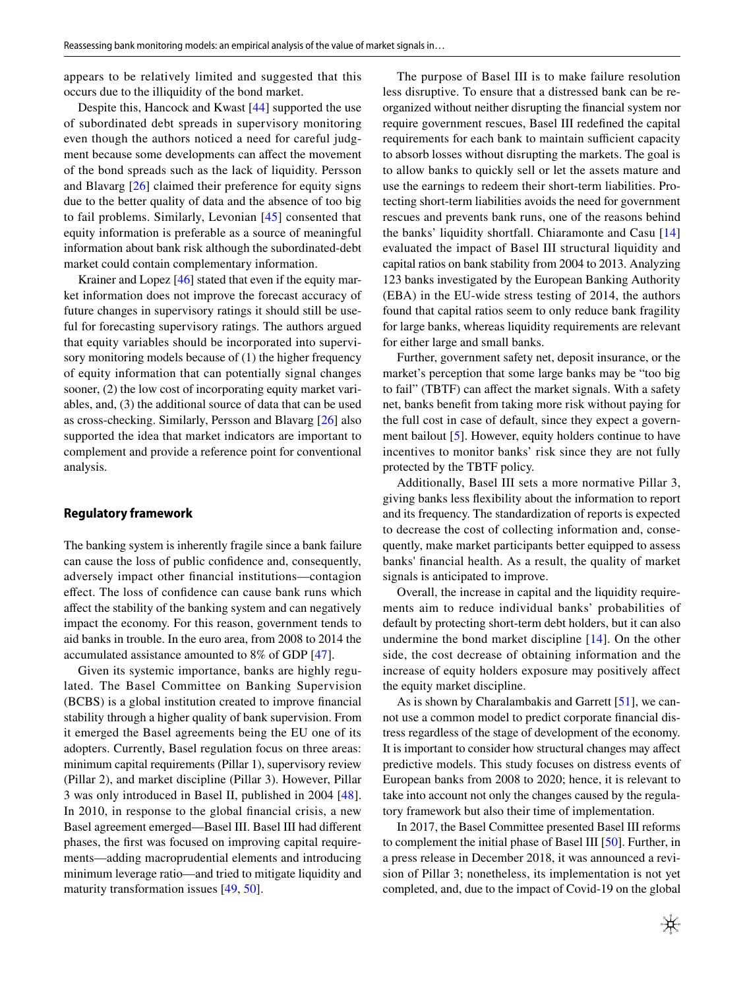appears to be relatively limited and suggested that this occurs due to the illiquidity of the bond market.

Despite this, Hancock and Kwast [\[44](#page-21-10)] supported the use of subordinated debt spreads in supervisory monitoring even though the authors noticed a need for careful judgment because some developments can afect the movement of the bond spreads such as the lack of liquidity. Persson and Blavarg [[26\]](#page-20-20) claimed their preference for equity signs due to the better quality of data and the absence of too big to fail problems. Similarly, Levonian [[45](#page-21-11)] consented that equity information is preferable as a source of meaningful information about bank risk although the subordinated-debt market could contain complementary information.

Krainer and Lopez [\[46\]](#page-21-12) stated that even if the equity market information does not improve the forecast accuracy of future changes in supervisory ratings it should still be useful for forecasting supervisory ratings. The authors argued that equity variables should be incorporated into supervisory monitoring models because of (1) the higher frequency of equity information that can potentially signal changes sooner, (2) the low cost of incorporating equity market variables, and, (3) the additional source of data that can be used as cross-checking. Similarly, Persson and Blavarg [[26](#page-20-20)] also supported the idea that market indicators are important to complement and provide a reference point for conventional analysis.

### **Regulatory framework**

The banking system is inherently fragile since a bank failure can cause the loss of public confdence and, consequently, adversely impact other fnancial institutions—contagion efect. The loss of confdence can cause bank runs which afect the stability of the banking system and can negatively impact the economy. For this reason, government tends to aid banks in trouble. In the euro area, from 2008 to 2014 the accumulated assistance amounted to 8% of GDP [[47\]](#page-21-13).

Given its systemic importance, banks are highly regulated. The Basel Committee on Banking Supervision (BCBS) is a global institution created to improve fnancial stability through a higher quality of bank supervision. From it emerged the Basel agreements being the EU one of its adopters. Currently, Basel regulation focus on three areas: minimum capital requirements (Pillar 1), supervisory review (Pillar 2), and market discipline (Pillar 3). However, Pillar 3 was only introduced in Basel II, published in 2004 [\[48](#page-21-14)]. In 2010, in response to the global fnancial crisis, a new Basel agreement emerged—Basel III. Basel III had diferent phases, the frst was focused on improving capital requirements—adding macroprudential elements and introducing minimum leverage ratio—and tried to mitigate liquidity and maturity transformation issues [[49,](#page-21-15) [50\]](#page-21-16).

The purpose of Basel III is to make failure resolution less disruptive. To ensure that a distressed bank can be reorganized without neither disrupting the fnancial system nor require government rescues, Basel III redefned the capital requirements for each bank to maintain sufficient capacity to absorb losses without disrupting the markets. The goal is to allow banks to quickly sell or let the assets mature and use the earnings to redeem their short-term liabilities. Protecting short-term liabilities avoids the need for government rescues and prevents bank runs, one of the reasons behind the banks' liquidity shortfall. Chiaramonte and Casu [[14\]](#page-20-8) evaluated the impact of Basel III structural liquidity and capital ratios on bank stability from 2004 to 2013. Analyzing 123 banks investigated by the European Banking Authority (EBA) in the EU-wide stress testing of 2014, the authors found that capital ratios seem to only reduce bank fragility for large banks, whereas liquidity requirements are relevant for either large and small banks.

Further, government safety net, deposit insurance, or the market's perception that some large banks may be "too big to fail" (TBTF) can affect the market signals. With a safety net, banks beneft from taking more risk without paying for the full cost in case of default, since they expect a government bailout [\[5](#page-20-24)]. However, equity holders continue to have incentives to monitor banks' risk since they are not fully protected by the TBTF policy.

Additionally, Basel III sets a more normative Pillar 3, giving banks less fexibility about the information to report and its frequency. The standardization of reports is expected to decrease the cost of collecting information and, consequently, make market participants better equipped to assess banks' fnancial health. As a result, the quality of market signals is anticipated to improve.

Overall, the increase in capital and the liquidity requirements aim to reduce individual banks' probabilities of default by protecting short-term debt holders, but it can also undermine the bond market discipline [[14](#page-20-8)]. On the other side, the cost decrease of obtaining information and the increase of equity holders exposure may positively afect the equity market discipline.

As is shown by Charalambakis and Garrett [[51\]](#page-21-17), we cannot use a common model to predict corporate fnancial distress regardless of the stage of development of the economy. It is important to consider how structural changes may afect predictive models. This study focuses on distress events of European banks from 2008 to 2020; hence, it is relevant to take into account not only the changes caused by the regulatory framework but also their time of implementation.

In 2017, the Basel Committee presented Basel III reforms to complement the initial phase of Basel III [\[50](#page-21-16)]. Further, in a press release in December 2018, it was announced a revision of Pillar 3; nonetheless, its implementation is not yet completed, and, due to the impact of Covid-19 on the global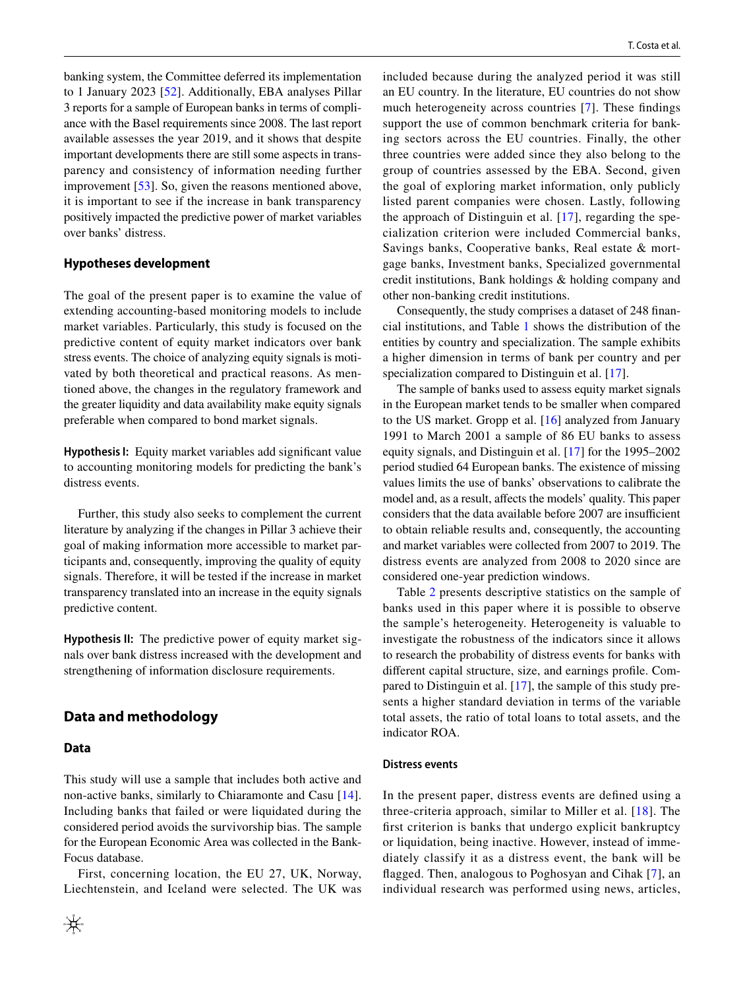banking system, the Committee deferred its implementation to 1 January 2023 [\[52\]](#page-21-18). Additionally, EBA analyses Pillar 3 reports for a sample of European banks in terms of compliance with the Basel requirements since 2008. The last report available assesses the year 2019, and it shows that despite important developments there are still some aspects in transparency and consistency of information needing further improvement [\[53](#page-21-19)]. So, given the reasons mentioned above, it is important to see if the increase in bank transparency positively impacted the predictive power of market variables over banks' distress.

### **Hypotheses development**

The goal of the present paper is to examine the value of extending accounting-based monitoring models to include market variables. Particularly, this study is focused on the predictive content of equity market indicators over bank stress events. The choice of analyzing equity signals is motivated by both theoretical and practical reasons. As mentioned above, the changes in the regulatory framework and the greater liquidity and data availability make equity signals preferable when compared to bond market signals.

**Hypothesis I:** Equity market variables add signifcant value to accounting monitoring models for predicting the bank's distress events.

Further, this study also seeks to complement the current literature by analyzing if the changes in Pillar 3 achieve their goal of making information more accessible to market participants and, consequently, improving the quality of equity signals. Therefore, it will be tested if the increase in market transparency translated into an increase in the equity signals predictive content.

**Hypothesis II:** The predictive power of equity market signals over bank distress increased with the development and strengthening of information disclosure requirements.

# **Data and methodology**

#### <span id="page-5-0"></span>**Data**

This study will use a sample that includes both active and non-active banks, similarly to Chiaramonte and Casu [\[14](#page-20-8)]. Including banks that failed or were liquidated during the considered period avoids the survivorship bias. The sample for the European Economic Area was collected in the Bank-Focus database.

First, concerning location, the EU 27, UK, Norway, Liechtenstein, and Iceland were selected. The UK was included because during the analyzed period it was still an EU country. In the literature, EU countries do not show much heterogeneity across countries [[7\]](#page-20-3). These fndings support the use of common benchmark criteria for banking sectors across the EU countries. Finally, the other three countries were added since they also belong to the group of countries assessed by the EBA. Second, given the goal of exploring market information, only publicly listed parent companies were chosen. Lastly, following the approach of Distinguin et al. [[17](#page-20-11)], regarding the specialization criterion were included Commercial banks, Savings banks, Cooperative banks, Real estate & mortgage banks, Investment banks, Specialized governmental credit institutions, Bank holdings & holding company and other non-banking credit institutions.

Consequently, the study comprises a dataset of 248 fnancial institutions, and Table [1](#page-6-0) shows the distribution of the entities by country and specialization. The sample exhibits a higher dimension in terms of bank per country and per specialization compared to Distinguin et al. [\[17](#page-20-11)].

The sample of banks used to assess equity market signals in the European market tends to be smaller when compared to the US market. Gropp et al. [[16\]](#page-20-10) analyzed from January 1991 to March 2001 a sample of 86 EU banks to assess equity signals, and Distinguin et al. [\[17](#page-20-11)] for the 1995–2002 period studied 64 European banks. The existence of missing values limits the use of banks' observations to calibrate the model and, as a result, affects the models' quality. This paper considers that the data available before 2007 are insufficient to obtain reliable results and, consequently, the accounting and market variables were collected from 2007 to 2019. The distress events are analyzed from 2008 to 2020 since are considered one-year prediction windows.

Table [2](#page-6-1) presents descriptive statistics on the sample of banks used in this paper where it is possible to observe the sample's heterogeneity. Heterogeneity is valuable to investigate the robustness of the indicators since it allows to research the probability of distress events for banks with diferent capital structure, size, and earnings profle. Compared to Distinguin et al. [[17\]](#page-20-11), the sample of this study presents a higher standard deviation in terms of the variable total assets, the ratio of total loans to total assets, and the indicator ROA.

#### **Distress events**

In the present paper, distress events are defned using a three-criteria approach, similar to Miller et al. [[18\]](#page-20-12). The frst criterion is banks that undergo explicit bankruptcy or liquidation, being inactive. However, instead of immediately classify it as a distress event, the bank will be fagged. Then, analogous to Poghosyan and Cihak [[7\]](#page-20-3), an individual research was performed using news, articles,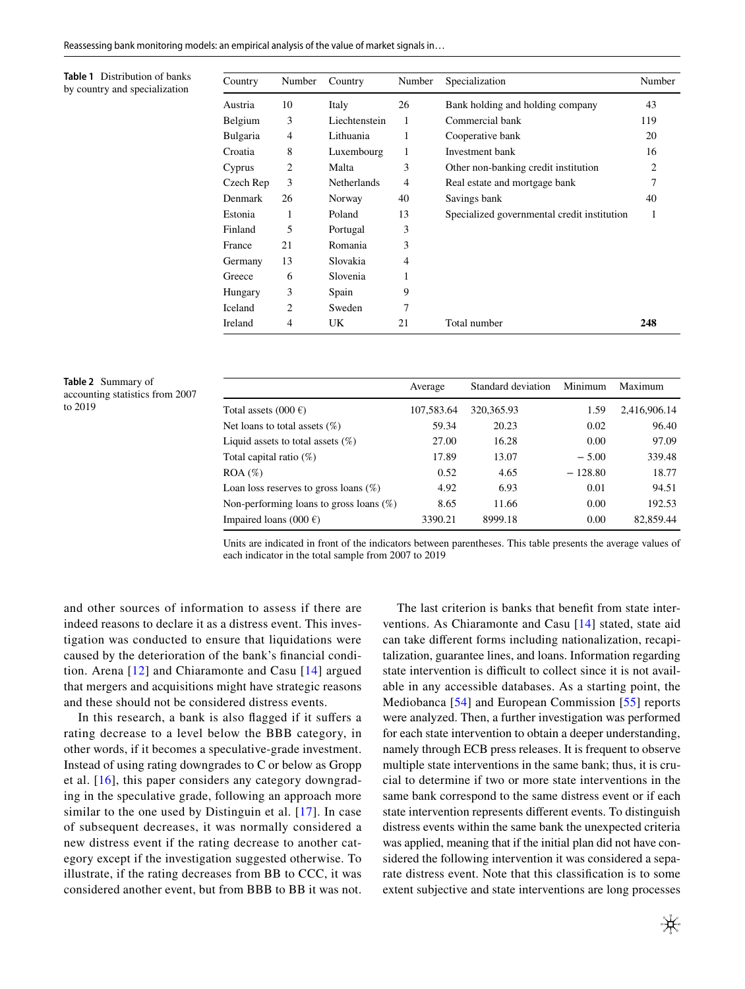<span id="page-6-0"></span>**Table 1** Distribution of banks by country and specialization

| Country   | Number         | Country            | Number         | Specialization                              | Number         |
|-----------|----------------|--------------------|----------------|---------------------------------------------|----------------|
| Austria   | 10             | Italy              | 26             | Bank holding and holding company            | 43             |
| Belgium   | 3              | Liechtenstein      | 1              | Commercial bank                             | 119            |
| Bulgaria  | $\overline{4}$ | Lithuania          | 1              | Cooperative bank                            | 20             |
| Croatia   | 8              | Luxembourg         | 1              | Investment bank                             | 16             |
| Cyprus    | 2              | Malta              | 3              | Other non-banking credit institution        | $\overline{c}$ |
| Czech Rep | 3              | <b>Netherlands</b> | $\overline{4}$ | Real estate and mortgage bank               | 7              |
| Denmark   | 26             | Norway             | 40             | Savings bank                                | 40             |
| Estonia   | 1              | Poland             | 13             | Specialized governmental credit institution | 1              |
| Finland   | 5              | Portugal           | 3              |                                             |                |
| France    | 21             | Romania            | 3              |                                             |                |
| Germany   | 13             | Slovakia           | 4              |                                             |                |
| Greece    | 6              | Slovenia           |                |                                             |                |
| Hungary   | 3              | Spain              | 9              |                                             |                |
| Iceland   | 2              | Sweden             | 7              |                                             |                |
| Ireland   | 4              | UK                 | 21             | Total number                                | 248            |

<span id="page-6-1"></span>

|         | <b>Table 2</b> Summary of       |
|---------|---------------------------------|
|         | accounting statistics from 2007 |
| to 2019 |                                 |

|                                            | Average    | Standard deviation | Minimum   | Maximum      |
|--------------------------------------------|------------|--------------------|-----------|--------------|
| Total assets $(000 \epsilon)$              | 107,583.64 | 320, 365. 93       | 1.59      | 2,416,906.14 |
| Net loans to total assets $(\%)$           | 59.34      | 20.23              | 0.02      | 96.40        |
| Liquid assets to total assets $(\%)$       | 27.00      | 16.28              | 0.00      | 97.09        |
| Total capital ratio $(\%)$                 | 17.89      | 13.07              | $-5.00$   | 339.48       |
| $ROA (\%)$                                 | 0.52       | 4.65               | $-128.80$ | 18.77        |
| Loan loss reserves to gross loans $(\%)$   | 4.92       | 6.93               | 0.01      | 94.51        |
| Non-performing loans to gross loans $(\%)$ | 8.65       | 11.66              | 0.00      | 192.53       |
| Impaired loans (000 $\epsilon$ )           | 3390.21    | 8999.18            | 0.00      | 82,859.44    |

Units are indicated in front of the indicators between parentheses. This table presents the average values of each indicator in the total sample from 2007 to 2019

and other sources of information to assess if there are indeed reasons to declare it as a distress event. This investigation was conducted to ensure that liquidations were caused by the deterioration of the bank's fnancial condition. Arena [[12](#page-20-7)] and Chiaramonte and Casu [[14](#page-20-8)] argued that mergers and acquisitions might have strategic reasons and these should not be considered distress events.

In this research, a bank is also fagged if it sufers a rating decrease to a level below the BBB category, in other words, if it becomes a speculative-grade investment. Instead of using rating downgrades to C or below as Gropp et al. [[16](#page-20-10)], this paper considers any category downgrading in the speculative grade, following an approach more similar to the one used by Distinguin et al. [[17](#page-20-11)]. In case of subsequent decreases, it was normally considered a new distress event if the rating decrease to another category except if the investigation suggested otherwise. To illustrate, if the rating decreases from BB to CCC, it was considered another event, but from BBB to BB it was not.

The last criterion is banks that beneft from state interventions. As Chiaramonte and Casu [[14](#page-20-8)] stated, state aid can take diferent forms including nationalization, recapitalization, guarantee lines, and loans. Information regarding state intervention is difficult to collect since it is not available in any accessible databases. As a starting point, the Mediobanca [\[54\]](#page-21-20) and European Commission [[55](#page-21-21)] reports were analyzed. Then, a further investigation was performed for each state intervention to obtain a deeper understanding, namely through ECB press releases. It is frequent to observe multiple state interventions in the same bank; thus, it is crucial to determine if two or more state interventions in the same bank correspond to the same distress event or if each state intervention represents diferent events. To distinguish distress events within the same bank the unexpected criteria was applied, meaning that if the initial plan did not have considered the following intervention it was considered a separate distress event. Note that this classifcation is to some extent subjective and state interventions are long processes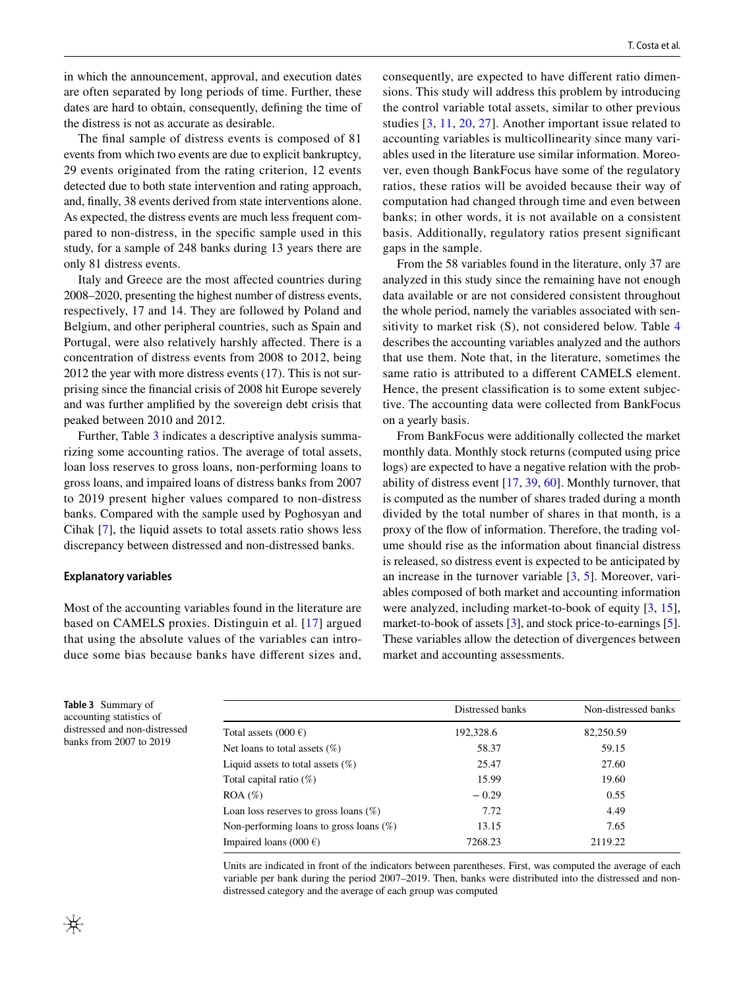in which the announcement, approval, and execution dates are often separated by long periods of time. Further, these dates are hard to obtain, consequently, defning the time of the distress is not as accurate as desirable.

The fnal sample of distress events is composed of 81 events from which two events are due to explicit bankruptcy, 29 events originated from the rating criterion, 12 events detected due to both state intervention and rating approach, and, fnally, 38 events derived from state interventions alone. As expected, the distress events are much less frequent compared to non-distress, in the specifc sample used in this study, for a sample of 248 banks during 13 years there are only 81 distress events.

Italy and Greece are the most afected countries during 2008–2020, presenting the highest number of distress events, respectively, 17 and 14. They are followed by Poland and Belgium, and other peripheral countries, such as Spain and Portugal, were also relatively harshly affected. There is a concentration of distress events from 2008 to 2012, being 2012 the year with more distress events (17). This is not surprising since the fnancial crisis of 2008 hit Europe severely and was further amplifed by the sovereign debt crisis that peaked between 2010 and 2012.

Further, Table [3](#page-7-0) indicates a descriptive analysis summarizing some accounting ratios. The average of total assets, loan loss reserves to gross loans, non-performing loans to gross loans, and impaired loans of distress banks from 2007 to 2019 present higher values compared to non-distress banks. Compared with the sample used by Poghosyan and Cihak [[7\]](#page-20-3), the liquid assets to total assets ratio shows less discrepancy between distressed and non-distressed banks.

#### **Explanatory variables**

Most of the accounting variables found in the literature are based on CAMELS proxies. Distinguin et al. [\[17\]](#page-20-11) argued that using the absolute values of the variables can introduce some bias because banks have diferent sizes and,

consequently, are expected to have diferent ratio dimensions. This study will address this problem by introducing the control variable total assets, similar to other previous studies [\[3](#page-20-2), [11,](#page-20-6) [20,](#page-20-14) [27](#page-20-21)]. Another important issue related to accounting variables is multicollinearity since many variables used in the literature use similar information. Moreover, even though BankFocus have some of the regulatory ratios, these ratios will be avoided because their way of computation had changed through time and even between banks; in other words, it is not available on a consistent basis. Additionally, regulatory ratios present signifcant gaps in the sample.

From the 58 variables found in the literature, only 37 are analyzed in this study since the remaining have not enough data available or are not considered consistent throughout the whole period, namely the variables associated with sensitivity to market risk (S), not considered below. Table [4](#page-8-0) describes the accounting variables analyzed and the authors that use them. Note that, in the literature, sometimes the same ratio is attributed to a diferent CAMELS element. Hence, the present classifcation is to some extent subjective. The accounting data were collected from BankFocus on a yearly basis.

From BankFocus were additionally collected the market monthly data. Monthly stock returns (computed using price logs) are expected to have a negative relation with the probability of distress event [[17](#page-20-11), [39](#page-21-5), [60](#page-21-22)]. Monthly turnover, that is computed as the number of shares traded during a month divided by the total number of shares in that month, is a proxy of the fow of information. Therefore, the trading volume should rise as the information about fnancial distress is released, so distress event is expected to be anticipated by an increase in the turnover variable [\[3](#page-20-2), [5\]](#page-20-24). Moreover, variables composed of both market and accounting information were analyzed, including market-to-book of equity [[3](#page-20-2), [15](#page-20-9)], market-to-book of assets [\[3](#page-20-2)], and stock price-to-earnings [[5](#page-20-24)]. These variables allow the detection of divergences between market and accounting assessments.

<span id="page-7-0"></span>

| <b>Table 3</b> Summary of     |
|-------------------------------|
| accounting statistics of      |
| distressed and non-distressed |
| banks from 2007 to 2019       |

|                                            | Distressed banks | Non-distressed banks |
|--------------------------------------------|------------------|----------------------|
| Total assets $(000 \epsilon)$              | 192,328.6        | 82,250.59            |
| Net loans to total assets $(\%)$           | 58.37            | 59.15                |
| Liquid assets to total assets $(\%)$       | 25.47            | 27.60                |
| Total capital ratio $(\%)$                 | 15.99            | 19.60                |
| $ROA (\%)$                                 | $-0.29$          | 0.55                 |
| Loan loss reserves to gross loans $(\%)$   | 7.72             | 4.49                 |
| Non-performing loans to gross loans $(\%)$ | 13.15            | 7.65                 |
| Impaired loans (000 $\epsilon$ )           | 7268.23          | 2119.22              |
|                                            |                  |                      |

Units are indicated in front of the indicators between parentheses. First, was computed the average of each variable per bank during the period 2007–2019. Then, banks were distributed into the distressed and nondistressed category and the average of each group was computed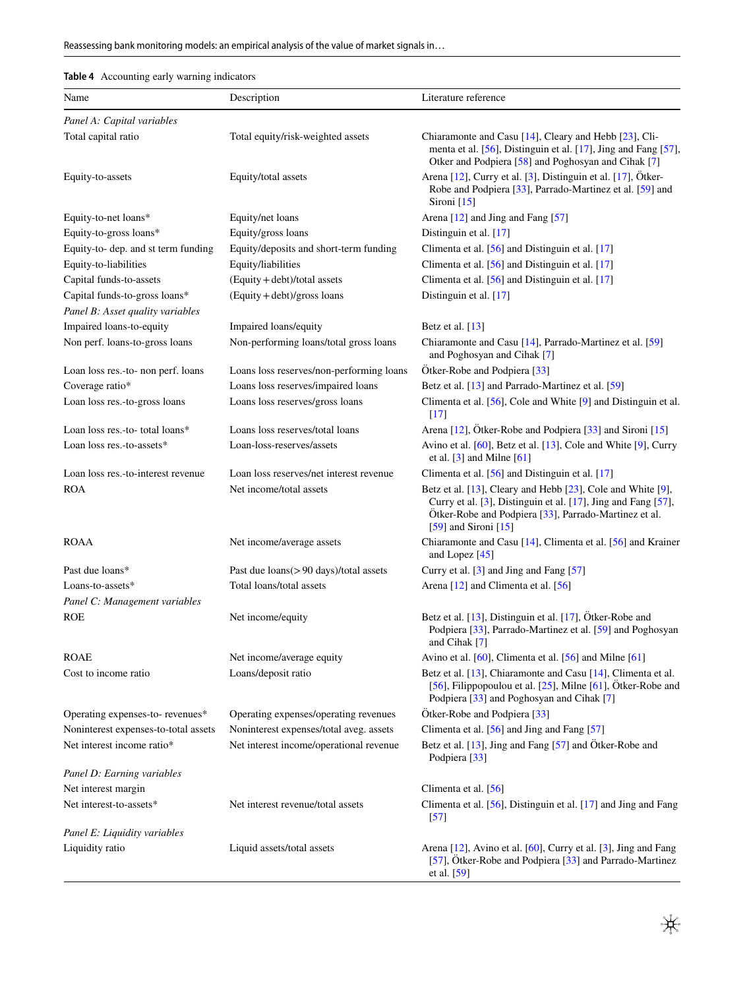# <span id="page-8-0"></span>**Table 4** Accounting early warning indicators

| Name                                 | Description                              | Literature reference                                                                                                                                                                                            |
|--------------------------------------|------------------------------------------|-----------------------------------------------------------------------------------------------------------------------------------------------------------------------------------------------------------------|
| Panel A: Capital variables           |                                          |                                                                                                                                                                                                                 |
| Total capital ratio                  | Total equity/risk-weighted assets        | Chiaramonte and Casu [14], Cleary and Hebb [23], Cli-<br>menta et al. [56], Distinguin et al. [17], Jing and Fang [57],<br>Otker and Podpiera [58] and Poghosyan and Cihak [7]                                  |
| Equity-to-assets                     | Equity/total assets                      | Arena [12], Curry et al. [3], Distinguin et al. [17], Ötker-<br>Robe and Podpiera [33], Parrado-Martinez et al. [59] and<br>Sironi $[15]$                                                                       |
| Equity-to-net loans*                 | Equity/net loans                         | Arena [12] and Jing and Fang [57]                                                                                                                                                                               |
| Equity-to-gross loans*               | Equity/gross loans                       | Distinguin et al. [17]                                                                                                                                                                                          |
| Equity-to- dep. and st term funding  | Equity/deposits and short-term funding   | Climenta et al. $[56]$ and Distinguin et al. $[17]$                                                                                                                                                             |
| Equity-to-liabilities                | Equity/liabilities                       | Climenta et al. [56] and Distinguin et al. [17]                                                                                                                                                                 |
| Capital funds-to-assets              | $(Equity + debt)/total$ assets           | Climenta et al. [56] and Distinguin et al. [17]                                                                                                                                                                 |
| Capital funds-to-gross loans*        | $(Equity + debt)/gross$ loans            | Distinguin et al. [17]                                                                                                                                                                                          |
| Panel B: Asset quality variables     |                                          |                                                                                                                                                                                                                 |
| Impaired loans-to-equity             | Impaired loans/equity                    | Betz et al. $[13]$                                                                                                                                                                                              |
| Non perf. loans-to-gross loans       | Non-performing loans/total gross loans   | Chiaramonte and Casu [14], Parrado-Martinez et al. [59]<br>and Poghosyan and Cihak [7]                                                                                                                          |
| Loan loss res.-to- non perf. loans   | Loans loss reserves/non-performing loans | Ötker-Robe and Podpiera [33]                                                                                                                                                                                    |
| Coverage ratio*                      | Loans loss reserves/impaired loans       | Betz et al. [13] and Parrado-Martinez et al. [59]                                                                                                                                                               |
| Loan loss res.-to-gross loans        | Loans loss reserves/gross loans          | Climenta et al. [56], Cole and White [9] and Distinguin et al.<br>$\lceil 17 \rceil$                                                                                                                            |
| Loan loss res.-to- total loans*      | Loans loss reserves/total loans          | Arena [12], Ötker-Robe and Podpiera [33] and Sironi [15]                                                                                                                                                        |
| Loan loss res.-to-assets*            | Loan-loss-reserves/assets                | Avino et al. [60], Betz et al. [13], Cole and White [9], Curry<br>et al. $[3]$ and Milne $[61]$                                                                                                                 |
| Loan loss res.-to-interest revenue   | Loan loss reserves/net interest revenue  | Climenta et al. $[56]$ and Distinguin et al. $[17]$                                                                                                                                                             |
| <b>ROA</b>                           | Net income/total assets                  | Betz et al. [13], Cleary and Hebb [23], Cole and White [9],<br>Curry et al. [3], Distinguin et al. [17], Jing and Fang [57],<br>Ötker-Robe and Podpiera [33], Parrado-Martinez et al.<br>[59] and Sironi $[15]$ |
| <b>ROAA</b>                          | Net income/average assets                | Chiaramonte and Casu [14], Climenta et al. [56] and Krainer<br>and Lopez [45]                                                                                                                                   |
| Past due loans*                      | Past due loans(>90 days)/total assets    | Curry et al. [3] and Jing and Fang [57]                                                                                                                                                                         |
| Loans-to-assets*                     | Total loans/total assets                 | Arena [12] and Climenta et al. [56]                                                                                                                                                                             |
| Panel C: Management variables        |                                          |                                                                                                                                                                                                                 |
| <b>ROE</b>                           | Net income/equity                        | Betz et al. [13], Distinguin et al. [17], Ötker-Robe and<br>Podpiera [33], Parrado-Martinez et al. [59] and Poghosyan<br>and Cihak [7]                                                                          |
| <b>ROAE</b>                          | Net income/average equity                | Avino et al. [60], Climenta et al. [56] and Milne [61]                                                                                                                                                          |
| Cost to income ratio                 | Loans/deposit ratio                      | Betz et al. [13], Chiaramonte and Casu [14], Climenta et al.<br>[56], Filippopoulou et al. $[25]$ , Milne $[61]$ , Ötker-Robe and<br>Podpiera [33] and Poghosyan and Cihak [7]                                  |
| Operating expenses-to-revenues*      | Operating expenses/operating revenues    | Ötker-Robe and Podpiera [33]                                                                                                                                                                                    |
| Noninterest expenses-to-total assets | Noninterest expenses/total aveg. assets  | Climenta et al. [56] and Jing and Fang [57]                                                                                                                                                                     |
| Net interest income ratio*           | Net interest income/operational revenue  | Betz et al. [13], Jing and Fang [57] and Ötker-Robe and<br>Podpiera [33]                                                                                                                                        |
| Panel D: Earning variables           |                                          |                                                                                                                                                                                                                 |
| Net interest margin                  |                                          | Climenta et al. [56]                                                                                                                                                                                            |
| Net interest-to-assets*              | Net interest revenue/total assets        | Climenta et al. $[56]$ , Distinguin et al. $[17]$ and Jing and Fang<br>$[57]$                                                                                                                                   |
| Panel E: Liquidity variables         |                                          |                                                                                                                                                                                                                 |
| Liquidity ratio                      | Liquid assets/total assets               | Arena [12], Avino et al. [60], Curry et al. [3], Jing and Fang<br>[57], Ötker-Robe and Podpiera [33] and Parrado-Martinez<br>et al. $[59]$                                                                      |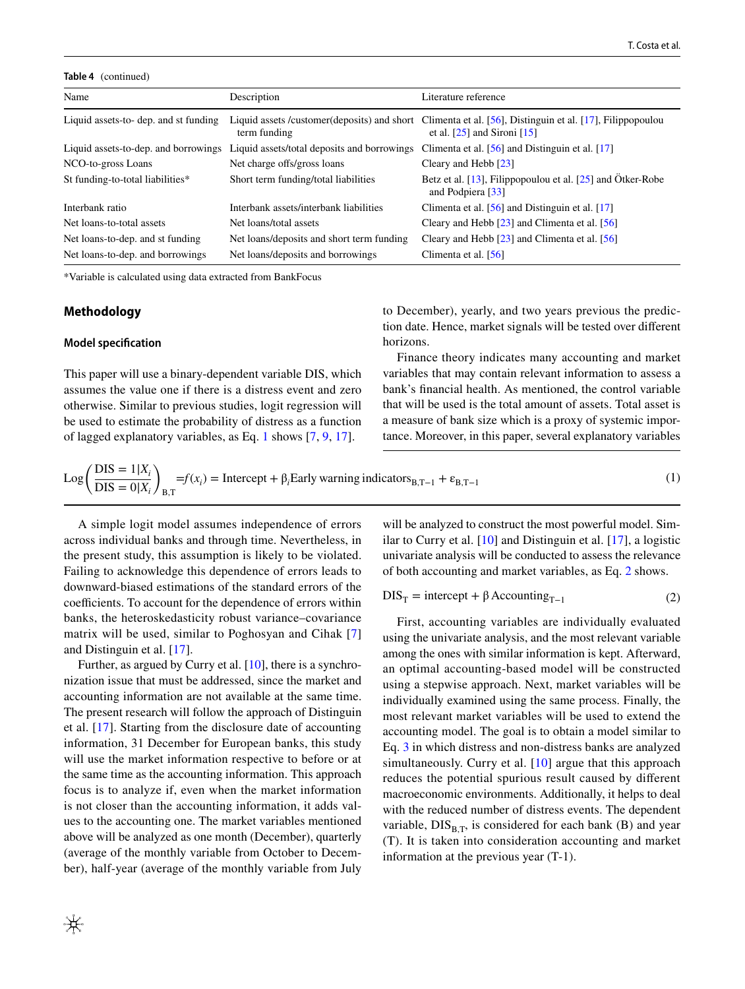#### **Table 4** (continued)

| Name                                  | Description                                 | Literature reference                                                                                                                       |
|---------------------------------------|---------------------------------------------|--------------------------------------------------------------------------------------------------------------------------------------------|
| Liquid assets-to- dep. and st funding | term funding                                | Liquid assets /customer(deposits) and short Climenta et al. [56], Distinguin et al. [17], Filippopoulou<br>et al. $[25]$ and Sironi $[15]$ |
| Liquid assets-to-dep. and borrowings  | Liquid assets/total deposits and borrowings | Climenta et al. $[56]$ and Distinguin et al. $[17]$                                                                                        |
| NCO-to-gross Loans                    | Net charge offs/gross loans                 | Cleary and Hebb [23]                                                                                                                       |
| St funding-to-total liabilities*      | Short term funding/total liabilities        | Betz et al. $[13]$ , Filippopoulou et al. $[25]$ and Otker-Robe<br>and Podpiera [33]                                                       |
| Interbank ratio                       | Interbank assets/interbank liabilities      | Climenta et al. $[56]$ and Distinguin et al. $[17]$                                                                                        |
| Net loans-to-total assets             | Net loans/total assets                      | Cleary and Hebb $[23]$ and Climenta et al. $[56]$                                                                                          |
| Net loans-to-dep, and st funding      | Net loans/deposits and short term funding   | Cleary and Hebb $[23]$ and Climenta et al. $[56]$                                                                                          |
| Net loans-to-dep. and borrowings      | Net loans/deposits and borrowings           | Climenta et al. [56]                                                                                                                       |
|                                       |                                             |                                                                                                                                            |

\*Variable is calculated using data extracted from BankFocus

### **Methodology**

### **Model specifcation**

This paper will use a binary-dependent variable DIS, which assumes the value one if there is a distress event and zero otherwise. Similar to previous studies, logit regression will be used to estimate the probability of distress as a function of lagged explanatory variables, as Eq. [1](#page-9-0) shows [[7,](#page-20-3) [9,](#page-20-5) [17](#page-20-11)].

to December), yearly, and two years previous the prediction date. Hence, market signals will be tested over diferent horizons.

Finance theory indicates many accounting and market variables that may contain relevant information to assess a bank's fnancial health. As mentioned, the control variable that will be used is the total amount of assets. Total asset is a measure of bank size which is a proxy of systemic importance. Moreover, in this paper, several explanatory variables

$$
Log\left(\frac{DIS = 1|X_i}{DIS = 0|X_i}\right)_{B,T} = f(x_i) = Intercept + \beta_i Early warning indicators_{B,T-1} + \varepsilon_{B,T-1}
$$
\n(1)

A simple logit model assumes independence of errors across individual banks and through time. Nevertheless, in the present study, this assumption is likely to be violated. Failing to acknowledge this dependence of errors leads to downward-biased estimations of the standard errors of the coefficients. To account for the dependence of errors within banks, the heteroskedasticity robust variance–covariance matrix will be used, similar to Poghosyan and Cihak [[7\]](#page-20-3) and Distinguin et al. [\[17\]](#page-20-11).

Further, as argued by Curry et al. [[10\]](#page-20-31), there is a synchronization issue that must be addressed, since the market and accounting information are not available at the same time. The present research will follow the approach of Distinguin et al. [\[17](#page-20-11)]. Starting from the disclosure date of accounting information, 31 December for European banks, this study will use the market information respective to before or at the same time as the accounting information. This approach focus is to analyze if, even when the market information is not closer than the accounting information, it adds values to the accounting one. The market variables mentioned above will be analyzed as one month (December), quarterly (average of the monthly variable from October to December), half-year (average of the monthly variable from July

<span id="page-9-0"></span>will be analyzed to construct the most powerful model. Similar to Curry et al. [[10\]](#page-20-31) and Distinguin et al. [[17\]](#page-20-11), a logistic univariate analysis will be conducted to assess the relevance of both accounting and market variables, as Eq. [2](#page-9-1) shows.

<span id="page-9-1"></span>
$$
DIS_T = intercept + \beta Accounting_{T-1}
$$
 (2)

First, accounting variables are individually evaluated using the univariate analysis, and the most relevant variable among the ones with similar information is kept. Afterward, an optimal accounting-based model will be constructed using a stepwise approach. Next, market variables will be individually examined using the same process. Finally, the most relevant market variables will be used to extend the accounting model. The goal is to obtain a model similar to Eq. [3](#page-10-1) in which distress and non-distress banks are analyzed simultaneously. Curry et al. [[10](#page-20-31)] argue that this approach reduces the potential spurious result caused by diferent macroeconomic environments. Additionally, it helps to deal with the reduced number of distress events. The dependent variable,  $DIS_{B,T}$ , is considered for each bank (B) and year (T). It is taken into consideration accounting and market information at the previous year (T-1).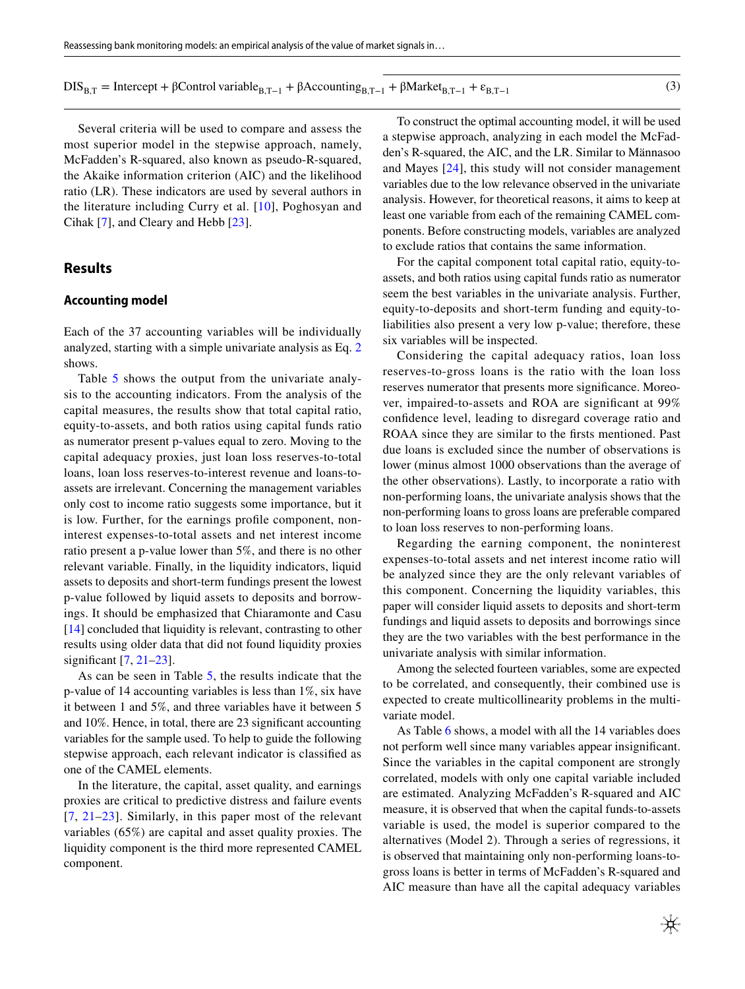$DIS_{B,T}$  = Intercept + βControl variable<sub>B,T−1</sub> + βAccounting<sub>B,T−1</sub> + βMarket<sub>B,T−1</sub> +  $\varepsilon_{B,T-1}$  (3)

Several criteria will be used to compare and assess the most superior model in the stepwise approach, namely, McFadden's R-squared, also known as pseudo-R-squared, the Akaike information criterion (AIC) and the likelihood ratio (LR). These indicators are used by several authors in the literature including Curry et al. [\[10\]](#page-20-31), Poghosyan and Cihak [[7](#page-20-3)], and Cleary and Hebb [[23\]](#page-20-17).

# **Results**

# <span id="page-10-0"></span>**Accounting model**

Each of the 37 accounting variables will be individually analyzed, starting with a simple univariate analysis as Eq. [2](#page-9-1) shows.

Table [5](#page-11-0) shows the output from the univariate analysis to the accounting indicators. From the analysis of the capital measures, the results show that total capital ratio, equity-to-assets, and both ratios using capital funds ratio as numerator present p-values equal to zero. Moving to the capital adequacy proxies, just loan loss reserves-to-total loans, loan loss reserves-to-interest revenue and loans-toassets are irrelevant. Concerning the management variables only cost to income ratio suggests some importance, but it is low. Further, for the earnings profle component, noninterest expenses-to-total assets and net interest income ratio present a p-value lower than 5%, and there is no other relevant variable. Finally, in the liquidity indicators, liquid assets to deposits and short-term fundings present the lowest p-value followed by liquid assets to deposits and borrowings. It should be emphasized that Chiaramonte and Casu [\[14](#page-20-8)] concluded that liquidity is relevant, contrasting to other results using older data that did not found liquidity proxies signifcant [[7](#page-20-3), [21](#page-20-15)[–23](#page-20-17)].

As can be seen in Table [5,](#page-11-0) the results indicate that the p-value of 14 accounting variables is less than 1%, six have it between 1 and 5%, and three variables have it between 5 and 10%. Hence, in total, there are 23 signifcant accounting variables for the sample used. To help to guide the following stepwise approach, each relevant indicator is classifed as one of the CAMEL elements.

In the literature, the capital, asset quality, and earnings proxies are critical to predictive distress and failure events [[7,](#page-20-3) [21](#page-20-15)–[23](#page-20-17)]. Similarly, in this paper most of the relevant variables (65%) are capital and asset quality proxies. The liquidity component is the third more represented CAMEL component.

To construct the optimal accounting model, it will be used a stepwise approach, analyzing in each model the McFadden's R-squared, the AIC, and the LR. Similar to Männasoo and Mayes [[24](#page-20-18)], this study will not consider management variables due to the low relevance observed in the univariate analysis. However, for theoretical reasons, it aims to keep at least one variable from each of the remaining CAMEL components. Before constructing models, variables are analyzed to exclude ratios that contains the same information.

For the capital component total capital ratio, equity-toassets, and both ratios using capital funds ratio as numerator seem the best variables in the univariate analysis. Further, equity-to-deposits and short-term funding and equity-toliabilities also present a very low p-value; therefore, these six variables will be inspected.

Considering the capital adequacy ratios, loan loss reserves-to-gross loans is the ratio with the loan loss reserves numerator that presents more signifcance. Moreover, impaired-to-assets and ROA are signifcant at 99% confdence level, leading to disregard coverage ratio and ROAA since they are similar to the frsts mentioned. Past due loans is excluded since the number of observations is lower (minus almost 1000 observations than the average of the other observations). Lastly, to incorporate a ratio with non-performing loans, the univariate analysis shows that the non-performing loans to gross loans are preferable compared to loan loss reserves to non-performing loans.

Regarding the earning component, the noninterest expenses-to-total assets and net interest income ratio will be analyzed since they are the only relevant variables of this component. Concerning the liquidity variables, this paper will consider liquid assets to deposits and short-term fundings and liquid assets to deposits and borrowings since they are the two variables with the best performance in the univariate analysis with similar information.

Among the selected fourteen variables, some are expected to be correlated, and consequently, their combined use is expected to create multicollinearity problems in the multivariate model.

As Table [6](#page-13-0) shows, a model with all the 14 variables does not perform well since many variables appear insignifcant. Since the variables in the capital component are strongly correlated, models with only one capital variable included are estimated. Analyzing McFadden's R-squared and AIC measure, it is observed that when the capital funds-to-assets variable is used, the model is superior compared to the alternatives (Model 2). Through a series of regressions, it is observed that maintaining only non-performing loans-togross loans is better in terms of McFadden's R-squared and AIC measure than have all the capital adequacy variables

<span id="page-10-1"></span>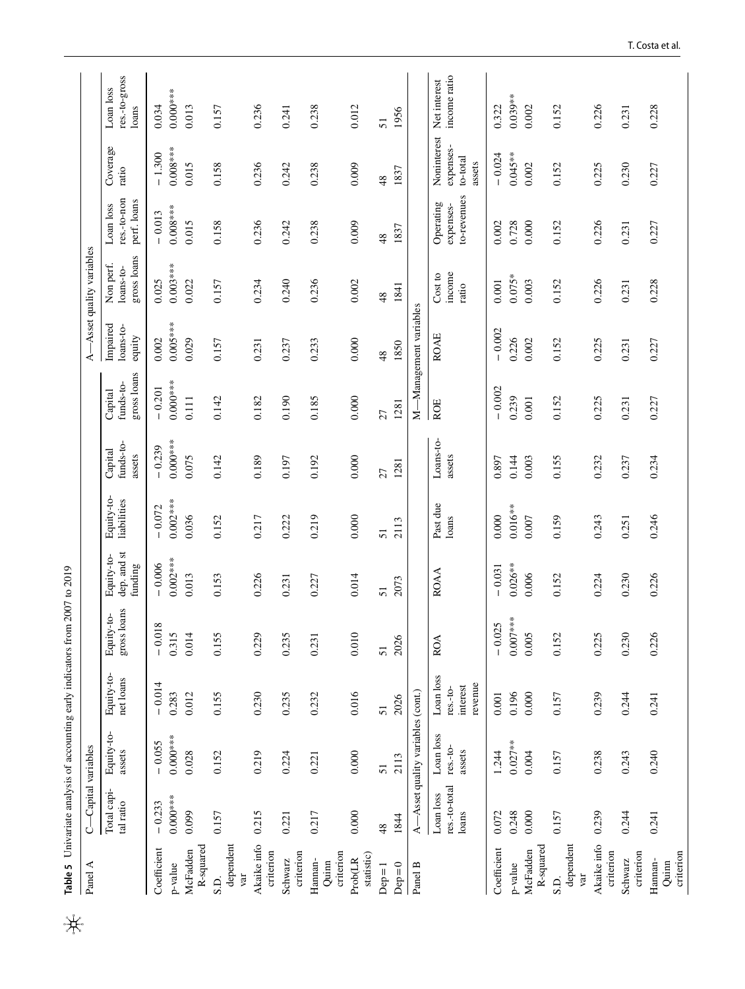<span id="page-11-0"></span>

| Panel A                       | C-Capital variables                 |                                   |                                                |                           |                                      |                           |                                |                                     |                                         | A-Asset quality variables             |                                         |                                                |                                     |
|-------------------------------|-------------------------------------|-----------------------------------|------------------------------------------------|---------------------------|--------------------------------------|---------------------------|--------------------------------|-------------------------------------|-----------------------------------------|---------------------------------------|-----------------------------------------|------------------------------------------------|-------------------------------------|
|                               | Total capi-<br>tal ratio            | Equity-to-<br>assets              | Equity-to-<br>net loans                        | gross loans<br>Equity-to- | dep. and st<br>Equity-to-<br>funding | Equity-to-<br>liabilities | funds-to-<br>Capital<br>assets | gross loans<br>funds-to-<br>Capital | Impaired<br>$_{\rm loans-to}$<br>equity | gross loans<br>Non perf.<br>loans-to- | res.-to-non<br>perf. loans<br>Loan loss | Coverage<br>ratio                              | res.-to-gross<br>Loan loss<br>loans |
| Coefficient                   | $-0.233$                            | $-0.055$                          | $-0.014$                                       | $-0.018$                  | $-0.006$                             | $-0.072$                  | $-0.239$                       | $-0.201$                            | 0.002                                   | 0.025                                 | $-0.013$                                | $-1.300$                                       | 0.034                               |
| p-value                       | $0.000***$                          | $0.000***$                        | 0.283                                          | 0.315                     | $0.002***$                           | $0.002***$                | $0.000***$                     | $0.000***$                          | $0.005***$                              | $0.003***$                            | $0.008***$                              | $0.008***$                                     | $0.000***$                          |
| R-squared<br>McFadden         | 0.099                               | 0.028                             | 0.012                                          | 0.014                     | 0.013                                | 0.036                     | 0.075                          | 0.111                               | 0.029                                   | 0.022                                 | 0.015                                   | 0.015                                          | 0.013                               |
| dependent<br>var<br>S.D.      | 0.157                               | 0.152                             | 0.155                                          | 0.155                     | 0.153                                | 0.152                     | 0.142                          | 0.142                               | 0.157                                   | 0.157                                 | 0.158                                   | 0.158                                          | 0.157                               |
| Akaike info<br>criterion      | 0.215                               | 0.219                             | 0.230                                          | 0.229                     | 0.226                                | 0.217                     | 0.189                          | 0.182                               | 0.231                                   | 0.234                                 | 0.236                                   | 0.236                                          | 0.236                               |
| criterion<br>Schwarz          | 0.221                               | 0.224                             | 0.235                                          | 0.235                     | 0.231                                | 0.222                     | 0.197                          | 0.190                               | 0.237                                   | 0.240                                 | 0.242                                   | 0.242                                          | 0.241                               |
| criterion<br>Hannan-<br>Quinn | 0.217                               | 0.221                             | 0.232                                          | 0.231                     | 0.227                                | 0.219                     | 0.192                          | 0.185                               | 0.233                                   | 0.236                                 | 0.238                                   | 0.238                                          | 0.238                               |
| statistic)<br>Prob(LR         | 0.000                               | 0.000                             | 0.016                                          | 0.010                     | 0.014                                | $0.000$                   | $0.000$                        | 0.000                               | 0.000                                   | 0.002                                 | 0.009                                   | 0.009                                          | 0.012                               |
| $Dep=1$                       | 48                                  | 51                                | 51                                             | 51                        | 51                                   | 51                        | 27                             | 27                                  | 48                                      | 48                                    | 48                                      | 48                                             | 51                                  |
| $Dep=0$                       | 1844                                | 2113                              | 2026                                           | 2026                      | 2073                                 | 2113                      | 1281                           | 1281                                | 1850                                    | 1841                                  | 1837                                    | 1837                                           | 1956                                |
| Panel B                       | $\overline{\mathbf{A}}$             | -Asset quality variables (cont.)  |                                                |                           |                                      |                           |                                |                                     | M-Management variables                  |                                       |                                         |                                                |                                     |
|                               | res.-to-total<br>Loan loss<br>loans | Loan loss<br>$res.-to-$<br>assets | Loan loss<br>revenue<br>interest<br>$res.-to-$ | <b>ROA</b>                | <b>ROAA</b>                          | Past due<br>loans         | Loans-to-<br>assets            | ROE                                 | <b>ROAE</b>                             | income<br>Cost to<br>ratio            | to-revenues<br>Operating<br>expenses-   | Noninterest<br>expenses-<br>to-total<br>assets | income ratio<br>Net interest        |
| Coefficient                   | 0.072                               | 1.244                             | $0.001\,$                                      | $-0.025$                  | $-0.031$                             | 0.000                     | 0.897                          | $-0.002$                            | $-0.002$                                | 0.001                                 | $0.002$                                 | $-0.024$                                       | 0.322                               |
| p-value                       | 0.248                               | $0.027**$                         | 0.196                                          | $0.007***$                | $0.026**$                            | $0.016**$                 | 0.144                          | 0.239                               | 0.226                                   | $0.075*$                              | 0.728                                   | $0.045***$                                     | $0.039**$                           |
| R-squared<br>McFadden         | 0.000                               | 0.004                             | 0.000                                          | 0.005                     | 0.006                                | $0.007$                   | 0.003                          | $0.001\,$                           | 0.002                                   | 0.003                                 | 0.000                                   | 0.002                                          | 0.002                               |
| dependent<br>var<br>S.D.      | 0.157                               | 0.157                             | 0.157                                          | 0.152                     | 0.152                                | 0.159                     | 0.155                          | 0.152                               | 0.152                                   | 0.152                                 | 0.152                                   | 0.152                                          | 0.152                               |
| Akaike info<br>criterion      | 0.239                               | 0.238                             | 0.239                                          | 0.225                     | 0.224                                | 0.243                     | 0.232                          | 0.225                               | 0.225                                   | 0.226                                 | 0.226                                   | 0.225                                          | 0.226                               |
| criterion<br>Schwarz          | 0.244                               | 0.243                             | 0.244                                          | 0.230                     | 0.230                                | 0.251                     | 0.237                          | 0.231                               | 0.231                                   | 0.231                                 | 0.231                                   | 0.230                                          | 0.231                               |
| criterion<br>Hannan-<br>Quinn | 0.241                               | 0.240                             | 0.241                                          | 0.226                     | 0.226                                | 0.246                     | 0.234                          | 0.227                               | 0.227                                   | 0.228                                 | 0.227                                   | 0.227                                          | 0.228                               |

# T. Costa et al.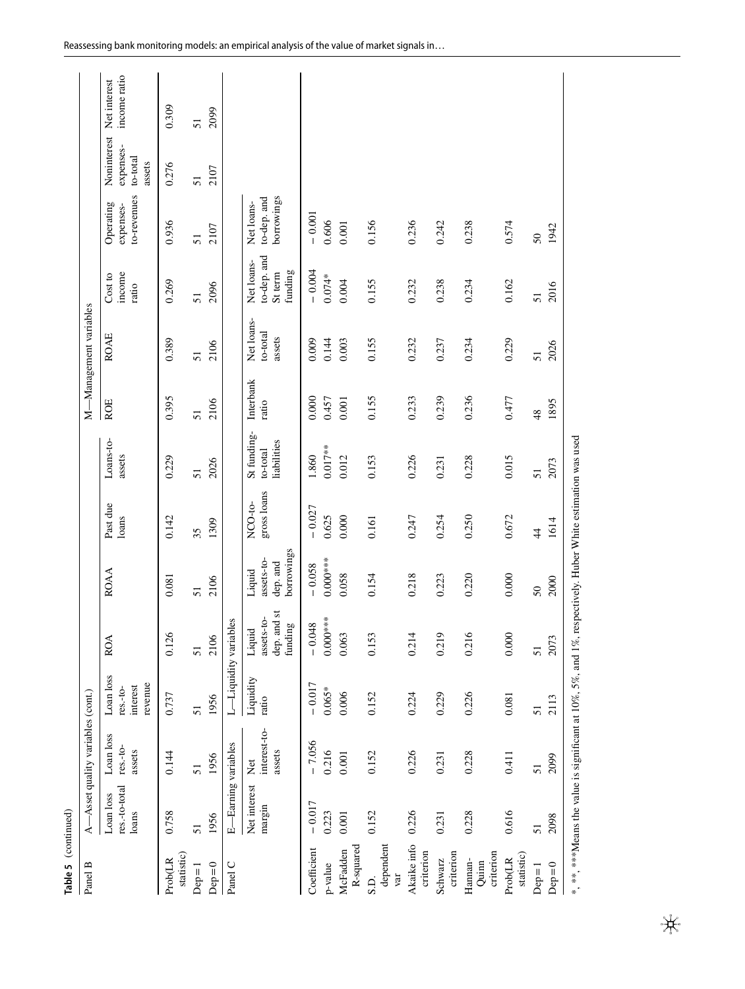| Table 5 (continued)           |                                     |                                   |                                                |                                                                                                                         |                                                |                        |                                        |                    |                                  |                                                 |                                         |                                                                      |              |
|-------------------------------|-------------------------------------|-----------------------------------|------------------------------------------------|-------------------------------------------------------------------------------------------------------------------------|------------------------------------------------|------------------------|----------------------------------------|--------------------|----------------------------------|-------------------------------------------------|-----------------------------------------|----------------------------------------------------------------------|--------------|
| Panel B                       |                                     | A-Asset quality variables (cont.) |                                                |                                                                                                                         |                                                |                        |                                        |                    | M-Management variables           |                                                 |                                         |                                                                      |              |
|                               | res.-to-total<br>Loan loss<br>loans | Loan loss<br>$res.-to-$<br>assets | Loan loss<br>revenue<br>interest<br>$res.-to-$ | <b>ROA</b>                                                                                                              | <b>ROAA</b>                                    | Past due<br>loans      | Loans-to-<br>assets                    | <b>ROE</b>         | <b>ROAE</b>                      | income<br>Cost to<br>ratio                      | to-revenues<br>Operating<br>expenses-   | Noninterest Net interest<br>expenses-<br>$_{\rm to-total}$<br>assets | income ratio |
| statistic)<br>Prob(LR         | 0.758                               | 0.144                             | 0.737                                          | 0.126                                                                                                                   | 0.081                                          | 0.142                  | 0.229                                  | 0.395              | 0.389                            | 0.269                                           | 0.936                                   | 0.276                                                                | 0.309        |
| $Dep=1$                       | 51                                  | 51                                | 51                                             | 51                                                                                                                      | 51                                             | 35                     | 51                                     | 51                 | 51                               | 51                                              | 51                                      | 51                                                                   | 51           |
| $Dep=0$                       | 1956                                | 1956                              | 1956                                           | 2106                                                                                                                    | 2106                                           | 1309                   | 2026                                   | 2106               | 2106                             | 2096                                            | 2107                                    | 2107                                                                 | 2099         |
| Panel C                       | E-Earning variables                 |                                   | L-Liquidity variables                          |                                                                                                                         |                                                |                        |                                        |                    |                                  |                                                 |                                         |                                                                      |              |
|                               | Net interest<br>margin              | interest-to-<br>assets<br>Net     | Liquidity<br>ratio                             | dep. and st<br>assets-to-<br>funding<br>Liquid                                                                          | borrowings<br>assets-to-<br>dep. and<br>Liquid | gross loans<br>NCO-to- | St funding-<br>liabilities<br>to-total | Interbank<br>ratio | Net loans-<br>to-total<br>assets | to-dep. and<br>Net loans-<br>funding<br>St term | borrowings<br>to-dep. and<br>Net loans- |                                                                      |              |
| Coefficient                   | $-0.017$                            | $-7.056$                          | $-0.017$                                       | $-0.048$                                                                                                                | $-0.058$                                       | $-0.027$               | 1.860                                  | 0.000              | 0.009                            | $-0.004$                                        | $-0.001$                                |                                                                      |              |
| p-value                       | 0.223                               | 0.216                             | $0.065*$                                       | $0.000***$                                                                                                              | $0.000***$                                     | 0.625                  | $0.017**$                              | 0.457              | 0.144                            | $0.074*$                                        | 0.606                                   |                                                                      |              |
| R-squared<br>McFadden         | 0.001                               | 0.001                             | 0.006                                          | 0.063                                                                                                                   | 0.058                                          | 0.000                  | 0.012                                  | 0.001              | 0.003                            | 0.004                                           | 0.001                                   |                                                                      |              |
| dependent<br>var<br>S.D.      | 0.152                               | 0.152                             | 0.152                                          | 0.153                                                                                                                   | 0.154                                          | 0.161                  | 0.153                                  | 0.155              | 0.155                            | 0.155                                           | 0.156                                   |                                                                      |              |
| Akaike info<br>criterion      | 0.226                               | 0.226                             | 0.224                                          | 0.214                                                                                                                   | 0.218                                          | 0.247                  | 0.226                                  | 0.233              | 0.232                            | 0.232                                           | 0.236                                   |                                                                      |              |
| criterion<br>Schwarz          | 0.231                               | 0.231                             | 0.229                                          | 0.219                                                                                                                   | 0.223                                          | 0.254                  | 0.231                                  | 0.239              | 0.237                            | 0.238                                           | 0.242                                   |                                                                      |              |
| criterion<br>Hannan-<br>Quinn | 0.228                               | 0.228                             | 0.226                                          | 0.216                                                                                                                   | 0.220                                          | 0.250                  | 0.228                                  | 0.236              | 0.234                            | 0.234                                           | 0.238                                   |                                                                      |              |
| statistic)<br>Prob(LR         | 0.616                               | 0.411                             | 0.081                                          | 0.000                                                                                                                   | 0.000                                          | 0.672                  | 0.015                                  | 0.477              | 0.229                            | 0.162                                           | 0.574                                   |                                                                      |              |
| $Dep=1$                       | 51                                  | 51                                | 51                                             | 51                                                                                                                      | $50\,$                                         | $\ddot{4}$             | 51                                     | 48                 | 51                               | 51                                              | 50                                      |                                                                      |              |
| $Dep=0$                       | 2098                                | 2099                              | 2113                                           | 2073                                                                                                                    | 2000                                           | 1614                   | 2073                                   | 1895               | 2026                             | 2016                                            | 1942                                    |                                                                      |              |
|                               |                                     |                                   |                                                | *, **, ****Means the value is significant at $10\%$ , $5\%$ , and $1\%$ , respectively. Huber White estimation was used |                                                |                        |                                        |                    |                                  |                                                 |                                         |                                                                      |              |

 $\frac{1}{2}$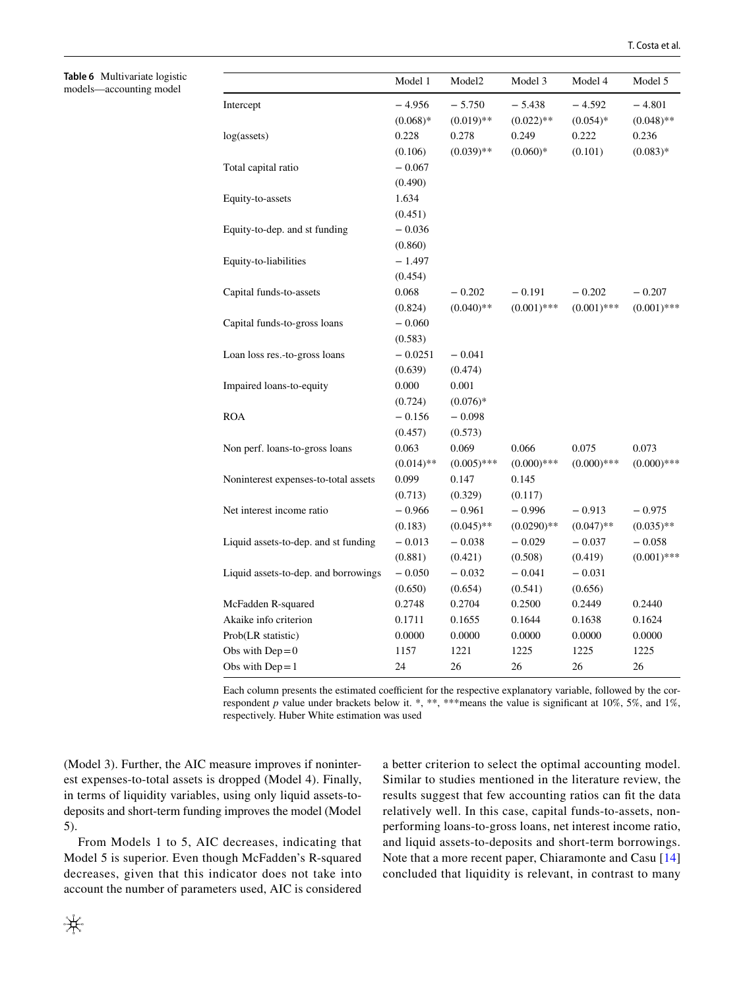<span id="page-13-0"></span>**Table 6** Multivariate logistic models—accounting model

|                                      | Model 1      | Model <sub>2</sub> | Model 3       | Model 4       | Model 5       |
|--------------------------------------|--------------|--------------------|---------------|---------------|---------------|
| Intercept                            | $-4.956$     | $-5.750$           | $-5.438$      | $-4.592$      | $-4.801$      |
|                                      | $(0.068)*$   | $(0.019)$ **       | $(0.022)$ **  | $(0.054)*$    | $(0.048)$ **  |
| log(assets)                          | 0.228        | 0.278              | 0.249         | 0.222         | 0.236         |
|                                      | (0.106)      | $(0.039)$ **       | $(0.060)*$    | (0.101)       | $(0.083)*$    |
| Total capital ratio                  | $-0.067$     |                    |               |               |               |
|                                      | (0.490)      |                    |               |               |               |
| Equity-to-assets                     | 1.634        |                    |               |               |               |
|                                      | (0.451)      |                    |               |               |               |
| Equity-to-dep. and st funding        | $-0.036$     |                    |               |               |               |
|                                      | (0.860)      |                    |               |               |               |
| Equity-to-liabilities                | $-1.497$     |                    |               |               |               |
|                                      | (0.454)      |                    |               |               |               |
| Capital funds-to-assets              | 0.068        | $-0.202$           | $-0.191$      | $-0.202$      | $-0.207$      |
|                                      | (0.824)      | $(0.040)$ **       | $(0.001)$ *** | $(0.001)$ *** | $(0.001)$ *** |
| Capital funds-to-gross loans         | $-0.060$     |                    |               |               |               |
|                                      | (0.583)      |                    |               |               |               |
| Loan loss res.-to-gross loans        | $-0.0251$    | $-0.041$           |               |               |               |
|                                      | (0.639)      | (0.474)            |               |               |               |
| Impaired loans-to-equity             | 0.000        | 0.001              |               |               |               |
|                                      | (0.724)      | $(0.076)*$         |               |               |               |
| <b>ROA</b>                           | $-0.156$     | $-0.098$           |               |               |               |
|                                      | (0.457)      | (0.573)            |               |               |               |
| Non perf. loans-to-gross loans       | 0.063        | 0.069              | 0.066         | 0.075         | 0.073         |
|                                      | $(0.014)$ ** | $(0.005)$ ***      | $(0.000)$ *** | $(0.000)$ *** | $(0.000)$ *** |
| Noninterest expenses-to-total assets | 0.099        | 0.147              | 0.145         |               |               |
|                                      | (0.713)      | (0.329)            | (0.117)       |               |               |
| Net interest income ratio            | $-0.966$     | $-0.961$           | $-0.996$      | $-0.913$      | $-0.975$      |
|                                      | (0.183)      | $(0.045)$ **       | $(0.0290)$ ** | $(0.047)$ **  | $(0.035)$ **  |
| Liquid assets-to-dep. and st funding | $-0.013$     | $-0.038$           | $-0.029$      | $-0.037$      | $-0.058$      |
|                                      | (0.881)      | (0.421)            | (0.508)       | (0.419)       | $(0.001)$ *** |
| Liquid assets-to-dep. and borrowings | $-0.050$     | $-0.032$           | $-0.041$      | $-0.031$      |               |
|                                      | (0.650)      | (0.654)            | (0.541)       | (0.656)       |               |
| McFadden R-squared                   | 0.2748       | 0.2704             | 0.2500        | 0.2449        | 0.2440        |
| Akaike info criterion                | 0.1711       | 0.1655             | 0.1644        | 0.1638        | 0.1624        |
| Prob(LR statistic)                   | 0.0000       | 0.0000             | 0.0000        | 0.0000        | 0.0000        |
| Obs with $Dep=0$                     | 1157         | 1221               | 1225          | 1225          | 1225          |
| Obs with $Dep = 1$                   | 24           | 26                 | 26            | 26            | 26            |
|                                      |              |                    |               |               |               |

Each column presents the estimated coefficient for the respective explanatory variable, followed by the correspondent *p* value under brackets below it. \*, \*\*, \*\*\* means the value is significant at 10%, 5%, and 1%, respectively. Huber White estimation was used

(Model 3). Further, the AIC measure improves if noninterest expenses-to-total assets is dropped (Model 4). Finally, in terms of liquidity variables, using only liquid assets-todeposits and short-term funding improves the model (Model 5).

From Models 1 to 5, AIC decreases, indicating that Model 5 is superior. Even though McFadden's R-squared decreases, given that this indicator does not take into account the number of parameters used, AIC is considered a better criterion to select the optimal accounting model. Similar to studies mentioned in the literature review, the results suggest that few accounting ratios can ft the data relatively well. In this case, capital funds-to-assets, nonperforming loans-to-gross loans, net interest income ratio, and liquid assets-to-deposits and short-term borrowings. Note that a more recent paper, Chiaramonte and Casu [[14](#page-20-8)] concluded that liquidity is relevant, in contrast to many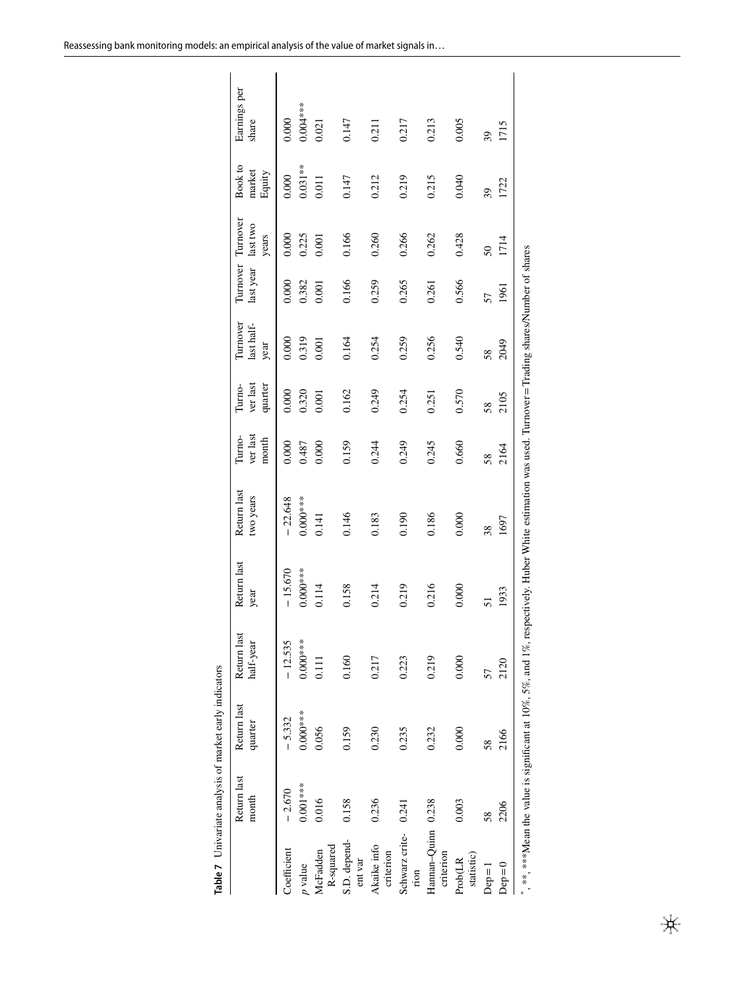|                                 | Return last<br>month | Return last<br>quarter | Return last<br>half-year | Return last<br>year                                                                                                                                | Return last<br>two years | ver last<br>Turno-<br>month | ver last<br>Turno-<br>quarter | Turnover<br>last half-<br>year | Turnover Turnover<br>last year last two | years  | Book to<br>market<br>Equity | Earnings per<br>share |
|---------------------------------|----------------------|------------------------|--------------------------|----------------------------------------------------------------------------------------------------------------------------------------------------|--------------------------|-----------------------------|-------------------------------|--------------------------------|-----------------------------------------|--------|-----------------------------|-----------------------|
| Coefficient                     | $-2.670$             | $-5.332$               | $-12.535$                | $-15.670$                                                                                                                                          | $-22.648$                | 0.000                       | 0.000                         | 0.000                          | 0.000                                   | 0.000  | 0.000                       | 0.000                 |
| p value                         | $0.001***$           | $0.000***$             | $0.000**$                | $0.000***$                                                                                                                                         | $0.000***$               | 0.487                       | 0.320                         | 0.319                          | 0.382                                   | 0.225  | $0.031***$                  | $0.004***$            |
| R-squared<br>McFadden           | 0.016                | 0.056                  | 0.111                    | 0.114                                                                                                                                              | 0.141                    | 0.000                       | 0.001                         | 0.001                          | 0.001                                   | 0.001  | 0.011                       | 0.021                 |
| S.D. depend-<br>ent var         | 0.158                | 0.159                  | 0.160                    | 0.158                                                                                                                                              | 0.146                    | 0.159                       | 0.162                         | 0.164                          | 0.166                                   | 0.166  | 0.147                       | 0.147                 |
| Akaike info<br>criterion        | 0.236                | 0.230                  | 0.217                    | 0.214                                                                                                                                              | 0.183                    | 0.244                       | 0.249                         | 0.254                          | 0.259                                   | 0.260  | 0.212                       | 0.211                 |
| Schwarz crite-<br>rion          | 0.241                | 0.235                  | 0.223                    | 0.219                                                                                                                                              | 0.190                    | 0.249                       | 0.254                         | 0.259                          | 0.265                                   | 0.266  | 0.219                       | 0.217                 |
| Hannan-Quinn 0.238<br>criterion |                      | 0.232                  | 0.219                    | 0.216                                                                                                                                              | 0.186                    | 0.245                       | 0.251                         | 0.256                          | 0.261                                   | 0.262  | 0.215                       | 0.213                 |
| statistic)<br>Prob(LR           | 0.003                | 0.000                  | 0.000                    | 0.000                                                                                                                                              | 0.000                    | 0.660                       | 0.570                         | 0.540                          | 0.566                                   | 0.428  | 0.040                       | 0.005                 |
| $Dep=1$                         | 58                   | 58                     | 57                       | 51                                                                                                                                                 | 38                       | 58                          | 58                            | 58                             | 57                                      | $50\,$ | 39                          | 39                    |
| $Dep=0$                         | 2206                 | 2166                   | 2120                     | 1933                                                                                                                                               | 1697                     | 2164                        | 2105                          | 2049                           | 1961                                    | 1714   | 1722                        | 1715                  |
|                                 |                      |                        |                          | *******Mean the value is significant at 10%, 5%, and 1%, respectively. Huber White estimation was used. Turnover = Trading shares/Number of shares |                          |                             |                               |                                |                                         |        |                             |                       |

<span id="page-14-0"></span>

| $\ddot{\phantom{0}}$<br>t early indicat<br>nivariate analysis of marke |
|------------------------------------------------------------------------|
|                                                                        |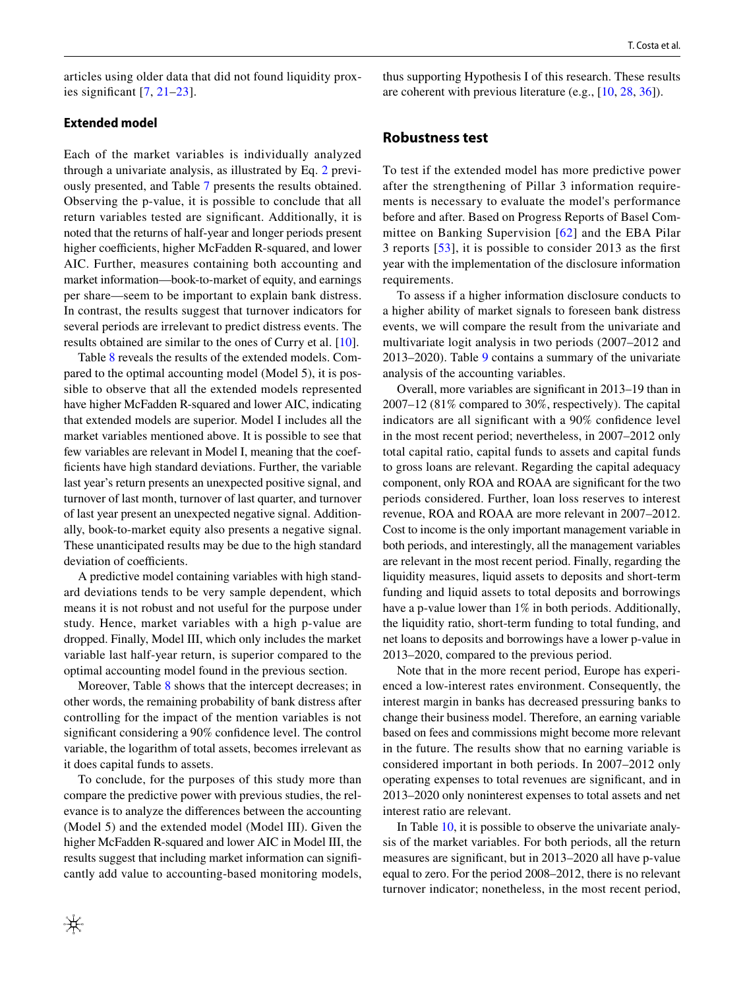articles using older data that did not found liquidity proxies signifcant [[7](#page-20-3), [21–](#page-20-15)[23](#page-20-17)].

# **Extended model**

Each of the market variables is individually analyzed through a univariate analysis, as illustrated by Eq. [2](#page-9-1) previously presented, and Table [7](#page-14-0) presents the results obtained. Observing the p-value, it is possible to conclude that all return variables tested are signifcant. Additionally, it is noted that the returns of half-year and longer periods present higher coefficients, higher McFadden R-squared, and lower AIC. Further, measures containing both accounting and market information—book-to-market of equity, and earnings per share—seem to be important to explain bank distress. In contrast, the results suggest that turnover indicators for several periods are irrelevant to predict distress events. The results obtained are similar to the ones of Curry et al. [\[10](#page-20-31)].

Table [8](#page-16-0) reveals the results of the extended models. Compared to the optimal accounting model (Model 5), it is possible to observe that all the extended models represented have higher McFadden R-squared and lower AIC, indicating that extended models are superior. Model I includes all the market variables mentioned above. It is possible to see that few variables are relevant in Model I, meaning that the coeffcients have high standard deviations. Further, the variable last year's return presents an unexpected positive signal, and turnover of last month, turnover of last quarter, and turnover of last year present an unexpected negative signal. Additionally, book-to-market equity also presents a negative signal. These unanticipated results may be due to the high standard deviation of coefficients.

A predictive model containing variables with high standard deviations tends to be very sample dependent, which means it is not robust and not useful for the purpose under study. Hence, market variables with a high p-value are dropped. Finally, Model III, which only includes the market variable last half-year return, is superior compared to the optimal accounting model found in the previous section.

Moreover, Table [8](#page-16-0) shows that the intercept decreases; in other words, the remaining probability of bank distress after controlling for the impact of the mention variables is not signifcant considering a 90% confdence level. The control variable, the logarithm of total assets, becomes irrelevant as it does capital funds to assets.

To conclude, for the purposes of this study more than compare the predictive power with previous studies, the relevance is to analyze the diferences between the accounting (Model 5) and the extended model (Model III). Given the higher McFadden R-squared and lower AIC in Model III, the results suggest that including market information can signifcantly add value to accounting-based monitoring models,

thus supporting Hypothesis I of this research. These results are coherent with previous literature (e.g., [\[10](#page-20-31), [28](#page-20-22), [36](#page-21-2)]).

### **Robustness test**

To test if the extended model has more predictive power after the strengthening of Pillar 3 information requirements is necessary to evaluate the model's performance before and after. Based on Progress Reports of Basel Committee on Banking Supervision [[62](#page-21-28)] and the EBA Pilar 3 reports [\[53\]](#page-21-19), it is possible to consider 2013 as the frst year with the implementation of the disclosure information requirements.

To assess if a higher information disclosure conducts to a higher ability of market signals to foreseen bank distress events, we will compare the result from the univariate and multivariate logit analysis in two periods (2007–2012 and 2013–2020). Table [9](#page-17-1) contains a summary of the univariate analysis of the accounting variables.

Overall, more variables are signifcant in 2013–19 than in 2007–12 (81% compared to 30%, respectively). The capital indicators are all signifcant with a 90% confdence level in the most recent period; nevertheless, in 2007–2012 only total capital ratio, capital funds to assets and capital funds to gross loans are relevant. Regarding the capital adequacy component, only ROA and ROAA are signifcant for the two periods considered. Further, loan loss reserves to interest revenue, ROA and ROAA are more relevant in 2007–2012. Cost to income is the only important management variable in both periods, and interestingly, all the management variables are relevant in the most recent period. Finally, regarding the liquidity measures, liquid assets to deposits and short-term funding and liquid assets to total deposits and borrowings have a p-value lower than  $1\%$  in both periods. Additionally, the liquidity ratio, short-term funding to total funding, and net loans to deposits and borrowings have a lower p-value in 2013–2020, compared to the previous period.

Note that in the more recent period, Europe has experienced a low-interest rates environment. Consequently, the interest margin in banks has decreased pressuring banks to change their business model. Therefore, an earning variable based on fees and commissions might become more relevant in the future. The results show that no earning variable is considered important in both periods. In 2007–2012 only operating expenses to total revenues are signifcant, and in 2013–2020 only noninterest expenses to total assets and net interest ratio are relevant.

In Table [10,](#page-18-0) it is possible to observe the univariate analysis of the market variables. For both periods, all the return measures are signifcant, but in 2013–2020 all have p-value equal to zero. For the period 2008–2012, there is no relevant turnover indicator; nonetheless, in the most recent period,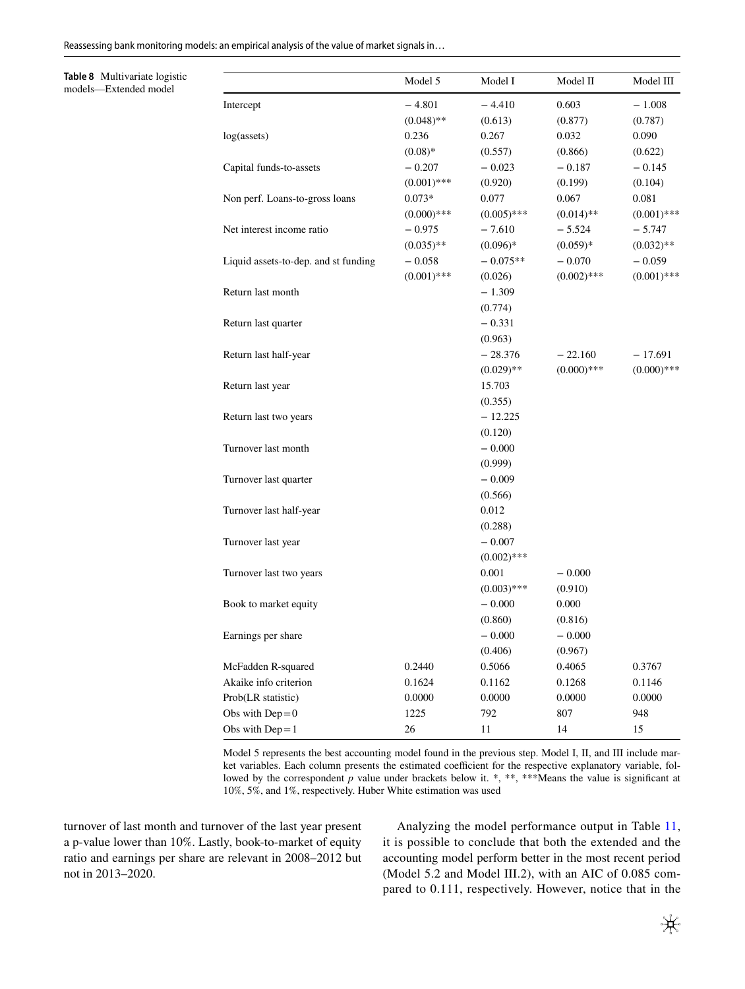Reassessing bank monitoring models: an empirical analysis of the value of market signals in…

<span id="page-16-0"></span>**Table 8** Multivariate logistic models—Extended model

|                                      | Model 5       | Model I       | Model II      | Model III     |
|--------------------------------------|---------------|---------------|---------------|---------------|
| Intercept                            | $-4.801$      | $-4.410$      | 0.603         | $-1.008$      |
|                                      | $(0.048)$ **  | (0.613)       | (0.877)       | (0.787)       |
| log(assets)                          | 0.236         | 0.267         | 0.032         | 0.090         |
|                                      | $(0.08)*$     | (0.557)       | (0.866)       | (0.622)       |
| Capital funds-to-assets              | $-0.207$      | $-0.023$      | $-0.187$      | $-0.145$      |
|                                      | $(0.001)$ *** | (0.920)       | (0.199)       | (0.104)       |
| Non perf. Loans-to-gross loans       | $0.073*$      | 0.077         | 0.067         | 0.081         |
|                                      | $(0.000)$ *** | $(0.005)$ *** | $(0.014)$ **  | $(0.001)$ *** |
| Net interest income ratio            | $-0.975$      | $-7.610$      | $-5.524$      | $-5.747$      |
|                                      | $(0.035)$ **  | $(0.096)*$    | $(0.059)*$    | $(0.032)$ **  |
| Liquid assets-to-dep. and st funding | $-0.058$      | $-0.075**$    | $-0.070$      | $-0.059$      |
|                                      | $(0.001)$ *** | (0.026)       | $(0.002)$ *** | $(0.001)$ *** |
| Return last month                    |               | $-1.309$      |               |               |
|                                      |               | (0.774)       |               |               |
| Return last quarter                  |               | $-0.331$      |               |               |
|                                      |               | (0.963)       |               |               |
| Return last half-year                |               | $-28.376$     | $-22.160$     | $-17.691$     |
|                                      |               | $(0.029)$ **  | $(0.000)$ *** | $(0.000)$ *** |
| Return last year                     |               | 15.703        |               |               |
|                                      |               | (0.355)       |               |               |
| Return last two years                |               | $-12.225$     |               |               |
|                                      |               | (0.120)       |               |               |
| Turnover last month                  |               | $-0.000$      |               |               |
|                                      |               | (0.999)       |               |               |
| Turnover last quarter                |               | $-0.009$      |               |               |
|                                      |               | (0.566)       |               |               |
| Turnover last half-year              |               | 0.012         |               |               |
|                                      |               | (0.288)       |               |               |
| Turnover last year                   |               | $-0.007$      |               |               |
|                                      |               | $(0.002)$ *** |               |               |
| Turnover last two years              |               | 0.001         | $-0.000$      |               |
|                                      |               | $(0.003)$ *** | (0.910)       |               |
| Book to market equity                |               | $-0.000$      | 0.000         |               |
|                                      |               | (0.860)       | (0.816)       |               |
| Earnings per share                   |               | $-0.000$      | $-0.000$      |               |
|                                      |               | (0.406)       | (0.967)       |               |
| McFadden R-squared                   | 0.2440        | 0.5066        | 0.4065        | 0.3767        |
| Akaike info criterion                | 0.1624        | 0.1162        | 0.1268        | 0.1146        |
| Prob(LR statistic)                   | 0.0000        | 0.0000        | 0.0000        | 0.0000        |
| Obs with $Dep = 0$                   | 1225          | 792           | 807           | 948           |
| Obs with $Dep = 1$                   | 26            | 11            | 14            | 15            |

Model 5 represents the best accounting model found in the previous step. Model I, II, and III include market variables. Each column presents the estimated coefficient for the respective explanatory variable, followed by the correspondent  $p$  value under brackets below it. \*, \*\*, \*\*\*Means the value is significant at 10%, 5%, and 1%, respectively. Huber White estimation was used

turnover of last month and turnover of the last year present a p-value lower than 10%. Lastly, book-to-market of equity ratio and earnings per share are relevant in 2008–2012 but not in 2013–2020.

Analyzing the model performance output in Table [11,](#page-19-0) it is possible to conclude that both the extended and the accounting model perform better in the most recent period (Model 5.2 and Model III.2), with an AIC of 0.085 compared to 0.111, respectively. However, notice that in the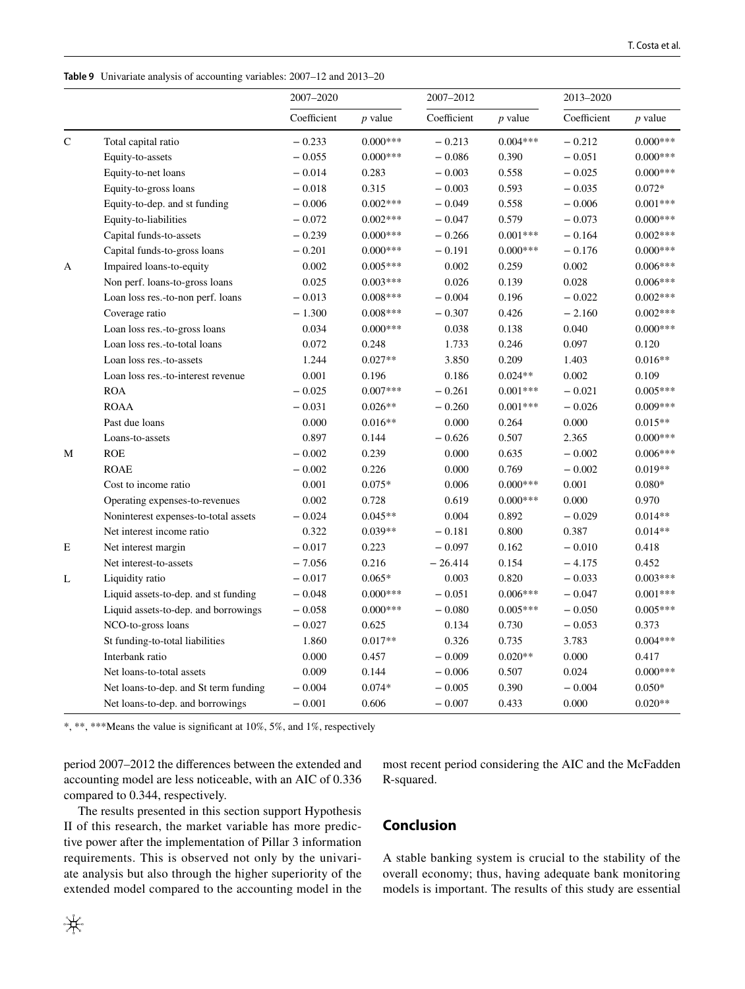<span id="page-17-1"></span>**Table 9** Univariate analysis of accounting variables: 2007–12 and 2013–20

|             |                                       | 2007-2020   |            | 2007-2012   |            | 2013-2020   |            |
|-------------|---------------------------------------|-------------|------------|-------------|------------|-------------|------------|
|             |                                       | Coefficient | $p$ value  | Coefficient | $p$ value  | Coefficient | $p$ value  |
| $\mathbf C$ | Total capital ratio                   | $-0.233$    | $0.000***$ | $-0.213$    | $0.004***$ | $-0.212$    | $0.000***$ |
|             | Equity-to-assets                      | $-0.055$    | $0.000***$ | $-0.086$    | 0.390      | $-0.051$    | $0.000***$ |
|             | Equity-to-net loans                   | $-0.014$    | 0.283      | $-0.003$    | 0.558      | $-0.025$    | $0.000***$ |
|             | Equity-to-gross loans                 | $-0.018$    | 0.315      | $-0.003$    | 0.593      | $-0.035$    | $0.072*$   |
|             | Equity-to-dep. and st funding         | $-0.006$    | $0.002***$ | $-0.049$    | 0.558      | $-0.006$    | $0.001***$ |
|             | Equity-to-liabilities                 | $-0.072$    | $0.002***$ | $-0.047$    | 0.579      | $-0.073$    | $0.000***$ |
|             | Capital funds-to-assets               | $-0.239$    | $0.000***$ | $-0.266$    | $0.001***$ | $-0.164$    | $0.002***$ |
|             | Capital funds-to-gross loans          | $-0.201$    | $0.000***$ | $-0.191$    | $0.000***$ | $-0.176$    | $0.000***$ |
| A           | Impaired loans-to-equity              | 0.002       | $0.005***$ | 0.002       | 0.259      | 0.002       | $0.006***$ |
|             | Non perf. loans-to-gross loans        | 0.025       | $0.003***$ | 0.026       | 0.139      | 0.028       | $0.006***$ |
|             | Loan loss res.-to-non perf. loans     | $-0.013$    | $0.008***$ | $-0.004$    | 0.196      | $-0.022$    | $0.002***$ |
|             | Coverage ratio                        | $-1.300$    | $0.008***$ | $-0.307$    | 0.426      | $-2.160$    | $0.002***$ |
|             | Loan loss res.-to-gross loans         | 0.034       | $0.000***$ | 0.038       | 0.138      | 0.040       | $0.000***$ |
|             | Loan loss res.-to-total loans         | 0.072       | 0.248      | 1.733       | 0.246      | 0.097       | 0.120      |
|             | Loan loss res.-to-assets              | 1.244       | $0.027**$  | 3.850       | 0.209      | 1.403       | $0.016**$  |
|             | Loan loss res.-to-interest revenue    | 0.001       | 0.196      | 0.186       | $0.024**$  | 0.002       | 0.109      |
|             | <b>ROA</b>                            | $-0.025$    | $0.007***$ | $-0.261$    | $0.001***$ | $-0.021$    | $0.005***$ |
|             | <b>ROAA</b>                           | $-0.031$    | $0.026**$  | $-0.260$    | $0.001***$ | $-0.026$    | $0.009***$ |
|             | Past due loans                        | 0.000       | $0.016**$  | 0.000       | 0.264      | 0.000       | $0.015**$  |
|             | Loans-to-assets                       | 0.897       | 0.144      | $-0.626$    | 0.507      | 2.365       | $0.000***$ |
| М           | <b>ROE</b>                            | $-0.002$    | 0.239      | 0.000       | 0.635      | $-0.002$    | $0.006***$ |
|             | <b>ROAE</b>                           | $-0.002$    | 0.226      | 0.000       | 0.769      | $-0.002$    | $0.019**$  |
|             | Cost to income ratio                  | 0.001       | $0.075*$   | 0.006       | $0.000***$ | 0.001       | $0.080*$   |
|             | Operating expenses-to-revenues        | 0.002       | 0.728      | 0.619       | $0.000***$ | 0.000       | 0.970      |
|             | Noninterest expenses-to-total assets  | $-0.024$    | $0.045**$  | 0.004       | 0.892      | $-0.029$    | $0.014**$  |
|             | Net interest income ratio             | 0.322       | $0.039**$  | $-0.181$    | 0.800      | 0.387       | $0.014**$  |
| Ε           | Net interest margin                   | $-0.017$    | 0.223      | $-0.097$    | 0.162      | $-0.010$    | 0.418      |
|             | Net interest-to-assets                | $-7.056$    | 0.216      | $-26.414$   | 0.154      | $-4.175$    | 0.452      |
| L           | Liquidity ratio                       | $-0.017$    | $0.065*$   | 0.003       | 0.820      | $-0.033$    | $0.003***$ |
|             | Liquid assets-to-dep. and st funding  | $-0.048$    | $0.000***$ | $-0.051$    | $0.006***$ | $-0.047$    | $0.001***$ |
|             | Liquid assets-to-dep. and borrowings  | $-0.058$    | $0.000***$ | $-0.080$    | $0.005***$ | $-0.050$    | $0.005***$ |
|             | NCO-to-gross loans                    | $-0.027$    | 0.625      | 0.134       | 0.730      | $-0.053$    | 0.373      |
|             | St funding-to-total liabilities       | 1.860       | $0.017**$  | 0.326       | 0.735      | 3.783       | $0.004***$ |
|             | Interbank ratio                       | 0.000       | 0.457      | $-0.009$    | $0.020**$  | 0.000       | 0.417      |
|             | Net loans-to-total assets             | 0.009       | 0.144      | $-0.006$    | 0.507      | 0.024       | $0.000***$ |
|             | Net loans-to-dep. and St term funding | $-0.004$    | $0.074*$   | $-0.005$    | 0.390      | $-0.004$    | $0.050*$   |
|             | Net loans-to-dep. and borrowings      | $-0.001$    | 0.606      | $-0.007$    | 0.433      | 0.000       | $0.020**$  |

\*, \*\*, \*\*\*Means the value is signifcant at 10%, 5%, and 1%, respectively

period 2007–2012 the diferences between the extended and accounting model are less noticeable, with an AIC of 0.336 compared to 0.344, respectively.

The results presented in this section support Hypothesis II of this research, the market variable has more predictive power after the implementation of Pillar 3 information requirements. This is observed not only by the univariate analysis but also through the higher superiority of the extended model compared to the accounting model in the most recent period considering the AIC and the McFadden R-squared.

# <span id="page-17-0"></span>**Conclusion**

A stable banking system is crucial to the stability of the overall economy; thus, having adequate bank monitoring models is important. The results of this study are essential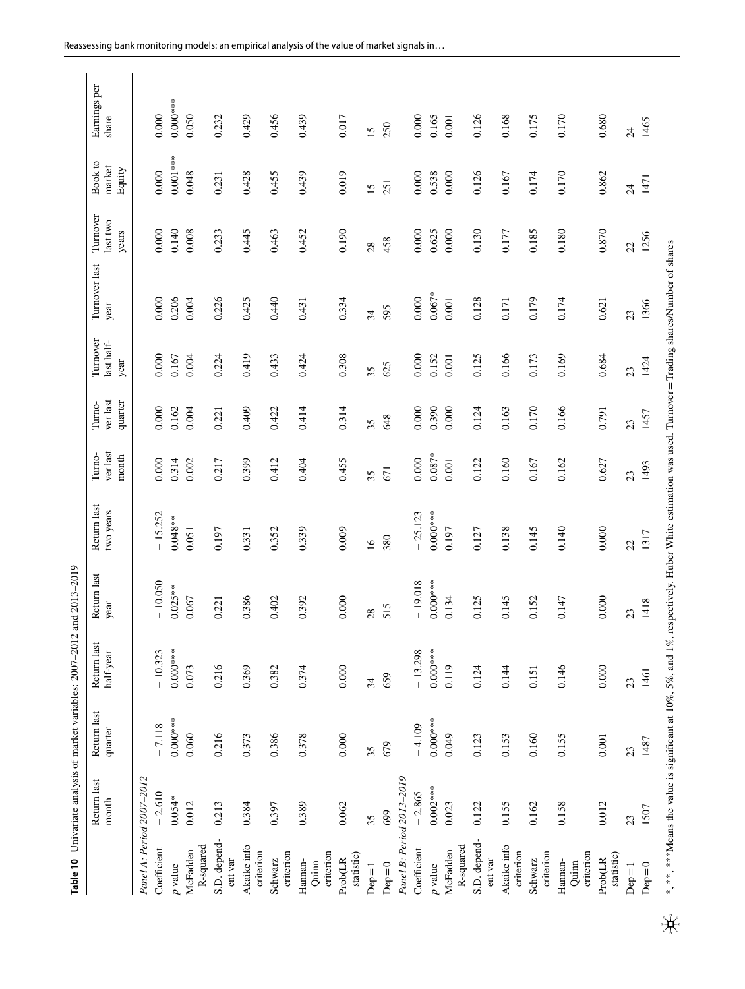<span id="page-18-0"></span>

| CICC CICC<br>;<br>į<br>$\frac{1}{2}$<br><b>Contractor</b> |
|-----------------------------------------------------------|
| í<br>j                                                    |
|                                                           |

|                               | Return last<br>month | Return last<br>quarter                                                                                                                                   | Return last<br>half-year | Return last<br>year | Return last<br>two years | ver last<br>Turno-<br>month | ver last<br>quarter<br>Turno- | Turnover<br>last half-<br>year | Turnover last<br>year | Turnover<br>last two<br>years | Book to<br>market<br>Equity | Earnings per<br>share |
|-------------------------------|----------------------|----------------------------------------------------------------------------------------------------------------------------------------------------------|--------------------------|---------------------|--------------------------|-----------------------------|-------------------------------|--------------------------------|-----------------------|-------------------------------|-----------------------------|-----------------------|
| Panel A: Period 2007-2012     |                      |                                                                                                                                                          |                          |                     |                          |                             |                               |                                |                       |                               |                             |                       |
| Coefficient                   | $-2.610$             | $-7.118$                                                                                                                                                 | $-10.323$                | $-10.050$           | $-15.252$                | 0.000                       | 0.000                         | 0.000                          | 0.000                 | 0.000                         | 0.000                       | 0.000                 |
| p value                       | $0.054*$             | $0.000***$                                                                                                                                               | $0.000***$               | $0.025***$          | $0.048***$               | 0.314                       | 0.162                         | 0.167                          | 0.206                 | 0.140                         | $0.001***$                  | $0.000***$            |
| R-squared<br>McFadden         | 0.012                | 0.060                                                                                                                                                    | 0.073                    | 0.067               | 0.051                    | 0.002                       | 0.004                         | 0.004                          | 0.004                 | 0.008                         | 0.048                       | 0.050                 |
| S.D. depend-<br>ent var       | 0.213                | 0.216                                                                                                                                                    | 0.216                    | 0.221               | 0.197                    | 0.217                       | 0.221                         | 0.224                          | 0.226                 | 0.233                         | 0.231                       | 0.232                 |
| Akaike info<br>criterion      | 0.384                | 0.373                                                                                                                                                    | 0.369                    | 0.386               | 0.331                    | 0.399                       | 0.409                         | 0.419                          | 0.425                 | 0.445                         | 0.428                       | 0.429                 |
| criterion<br>Schwarz          | 0.397                | 0.386                                                                                                                                                    | 0.382                    | 0.402               | 0.352                    | 0.412                       | 0.422                         | 0.433                          | 0.440                 | 0.463                         | 0.455                       | 0.456                 |
| criterion<br>Hannan-<br>Quinn | 0.389                | 0.378                                                                                                                                                    | 0.374                    | 0.392               | 0.339                    | 0.404                       | 0.414                         | 0.424                          | 0.431                 | 0.452                         | 0.439                       | 0.439                 |
| statistic)<br>Prob(LR         | 0.062                | 0.000                                                                                                                                                    | $0.000$                  | $0.000\,$           | 0.009                    | 0.455                       | 0.314                         | 0.308                          | 0.334                 | 0.190                         | 0.019                       | 0.017                 |
| $Dep=1$                       | 35                   | 35                                                                                                                                                       | 34                       | 28                  | $\overline{16}$          | 35                          | 35                            | 35                             | 34                    | 28                            | $15 \,$                     | $15 \,$               |
| $Dep=0$                       | 699                  | 679                                                                                                                                                      | 659                      | 515                 | 380                      | 671                         | 648                           | 625                            | 595                   | 458                           | 251                         | 250                   |
| Panel B: Period 2013-2019     |                      |                                                                                                                                                          |                          |                     |                          |                             |                               |                                |                       |                               |                             |                       |
| Coefficient                   | $-2.865$             | $-4.109$                                                                                                                                                 | $-13.298$                | $-19.018$           | $-25.123$                | 0.000                       | 0.000                         | 0.000                          | 0.000                 | 0.000                         | 0.000                       | 0.000                 |
| $p$ value                     | $0.002***$           | $0.000***$                                                                                                                                               | $0.000***$               | $0.000***$          | $0.000***$               | $0.087*$                    | 0.390                         | 0.152                          | $0.067*$              | 0.625                         | 0.538                       | 0.165                 |
| R-squared<br>McFadden         | 0.023                | 0.049                                                                                                                                                    | 0.119                    | 0.134               | 0.197                    | $0.001\,$                   | 0.000                         | 0.001                          | 0.001                 | 0.000                         | 0.000                       | $0.001\,$             |
| S.D. depend-<br>ent var       | 0.122                | 0.123                                                                                                                                                    | 0.124                    | 0.125               | 0.127                    | 0.122                       | 0.124                         | 0.125                          | 0.128                 | 0.130                         | 0.126                       | 0.126                 |
| Akaike info<br>criterion      | 0.155                | 0.153                                                                                                                                                    | 0.144                    | 0.145               | 0.138                    | 0.160                       | 0.163                         | 0.166                          | 0.171                 | 0.177                         | 0.167                       | 0.168                 |
| criterion<br>Schwarz          | 0.162                | 0.160                                                                                                                                                    | 0.151                    | 0.152               | 0.145                    | 0.167                       | 0.170                         | 0.173                          | 0.179                 | 0.185                         | 0.174                       | 0.175                 |
| criterion<br>Hannan-<br>Quinn | 0.158                | 0.155                                                                                                                                                    | 0.146                    | 0.147               | 0.140                    | 0.162                       | 0.166                         | 0.169                          | 0.174                 | 0.180                         | 0.170                       | 0.170                 |
| statistic)<br>Prob(LR         | 0.012                | 0.001                                                                                                                                                    | $0.000$                  | 0.000               | 0.000                    | 0.627                       | 0.791                         | 0.684                          | 0.621                 | 0.870                         | 0.862                       | 0.680                 |
| $Dep=1$                       | 23                   | 23                                                                                                                                                       | 23                       | 23                  | 22                       | 23                          | 23                            | 23                             | 23                    | 22                            | $\overline{24}$             | $\overline{24}$       |
| $Dep=0$                       | 1507                 | 1487                                                                                                                                                     | 1461                     | 1418                | 1317                     | 1493                        | 1457                          | 1424                           | 1366                  | 1256                          | 1471                        | 1465                  |
|                               |                      | *, ***, ****Means the value is significant at 10%, 5%, and 1%, respectively. Huber White estimation was used. Turnover = Trading shares/Number of shares |                          |                     |                          |                             |                               |                                |                       |                               |                             |                       |

 $\mathbf{H}$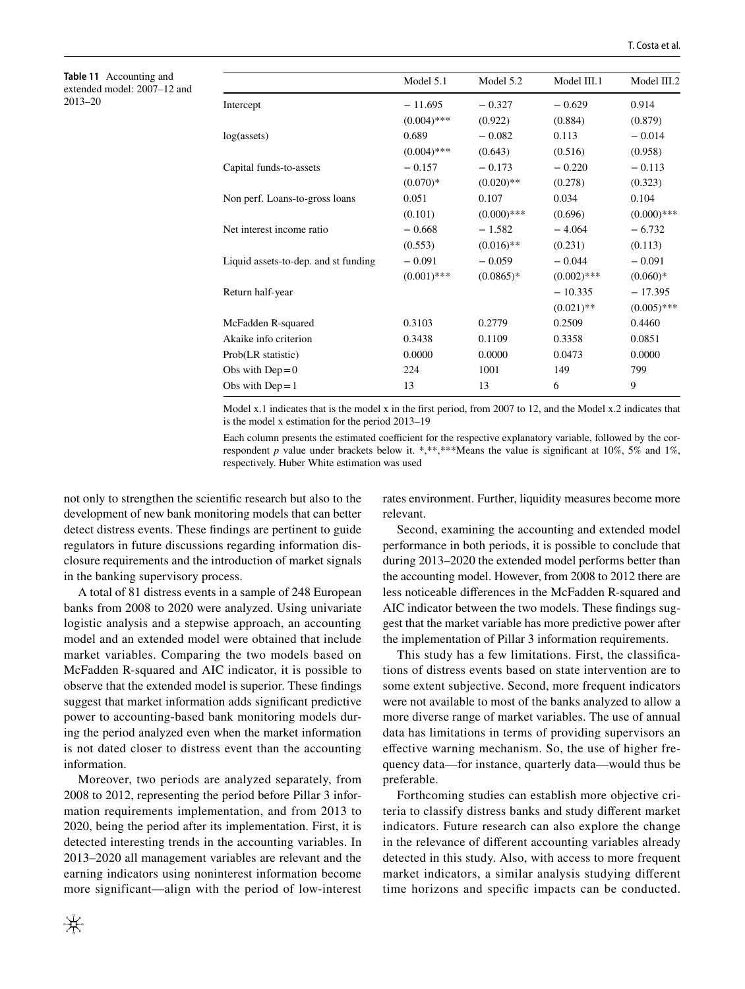<span id="page-19-0"></span>**Table 11** Accounting and extended model: 2007–12 and 2013–20

|                                      | Model 5.1     | Model 5.2     | Model III.1   | Model III.2   |
|--------------------------------------|---------------|---------------|---------------|---------------|
| Intercept                            | $-11.695$     | $-0.327$      | $-0.629$      | 0.914         |
|                                      | $(0.004)$ *** | (0.922)       | (0.884)       | (0.879)       |
| log(asserts)                         | 0.689         | $-0.082$      | 0.113         | $-0.014$      |
|                                      | $(0.004)$ *** | (0.643)       | (0.516)       | (0.958)       |
| Capital funds-to-assets              | $-0.157$      | $-0.173$      | $-0.220$      | $-0.113$      |
|                                      | $(0.070)*$    | $(0.020)$ **  | (0.278)       | (0.323)       |
| Non perf. Loans-to-gross loans       | 0.051         | 0.107         | 0.034         | 0.104         |
|                                      | (0.101)       | $(0.000)$ *** | (0.696)       | $(0.000)$ *** |
| Net interest income ratio            | $-0.668$      | $-1.582$      | $-4.064$      | $-6.732$      |
|                                      | (0.553)       | $(0.016)$ **  | (0.231)       | (0.113)       |
| Liquid assets-to-dep. and st funding | $-0.091$      | $-0.059$      | $-0.044$      | $-0.091$      |
|                                      | $(0.001)$ *** | $(0.0865)*$   | $(0.002)$ *** | $(0.060)*$    |
| Return half-year                     |               |               | $-10.335$     | $-17.395$     |
|                                      |               |               | $(0.021)$ **  | $(0.005)$ *** |
| McFadden R-squared                   | 0.3103        | 0.2779        | 0.2509        | 0.4460        |
| Akaike info criterion                | 0.3438        | 0.1109        | 0.3358        | 0.0851        |
| Prob(LR statistic)                   | 0.0000        | 0.0000        | 0.0473        | 0.0000        |
| Obs with $Dep=0$                     | 224           | 1001          | 149           | 799           |
| Obs with $Dep = 1$                   | 13            | 13            | 6             | 9             |

Model x.1 indicates that is the model x in the frst period, from 2007 to 12, and the Model x.2 indicates that is the model x estimation for the period 2013–19

Each column presents the estimated coefficient for the respective explanatory variable, followed by the correspondent *p* value under brackets below it. \*,\*\*,\*\*\*Means the value is significant at  $10\%$ , 5% and 1%, respectively. Huber White estimation was used

not only to strengthen the scientifc research but also to the development of new bank monitoring models that can better detect distress events. These fndings are pertinent to guide regulators in future discussions regarding information disclosure requirements and the introduction of market signals in the banking supervisory process.

A total of 81 distress events in a sample of 248 European banks from 2008 to 2020 were analyzed. Using univariate logistic analysis and a stepwise approach, an accounting model and an extended model were obtained that include market variables. Comparing the two models based on McFadden R-squared and AIC indicator, it is possible to observe that the extended model is superior. These fndings suggest that market information adds signifcant predictive power to accounting-based bank monitoring models during the period analyzed even when the market information is not dated closer to distress event than the accounting information.

Moreover, two periods are analyzed separately, from 2008 to 2012, representing the period before Pillar 3 information requirements implementation, and from 2013 to 2020, being the period after its implementation. First, it is detected interesting trends in the accounting variables. In 2013–2020 all management variables are relevant and the earning indicators using noninterest information become more significant—align with the period of low-interest rates environment. Further, liquidity measures become more relevant.

Second, examining the accounting and extended model performance in both periods, it is possible to conclude that during 2013–2020 the extended model performs better than the accounting model. However, from 2008 to 2012 there are less noticeable diferences in the McFadden R-squared and AIC indicator between the two models. These fndings suggest that the market variable has more predictive power after the implementation of Pillar 3 information requirements.

This study has a few limitations. First, the classifcations of distress events based on state intervention are to some extent subjective. Second, more frequent indicators were not available to most of the banks analyzed to allow a more diverse range of market variables. The use of annual data has limitations in terms of providing supervisors an efective warning mechanism. So, the use of higher frequency data—for instance, quarterly data—would thus be preferable.

Forthcoming studies can establish more objective criteria to classify distress banks and study diferent market indicators. Future research can also explore the change in the relevance of diferent accounting variables already detected in this study. Also, with access to more frequent market indicators, a similar analysis studying diferent time horizons and specifc impacts can be conducted.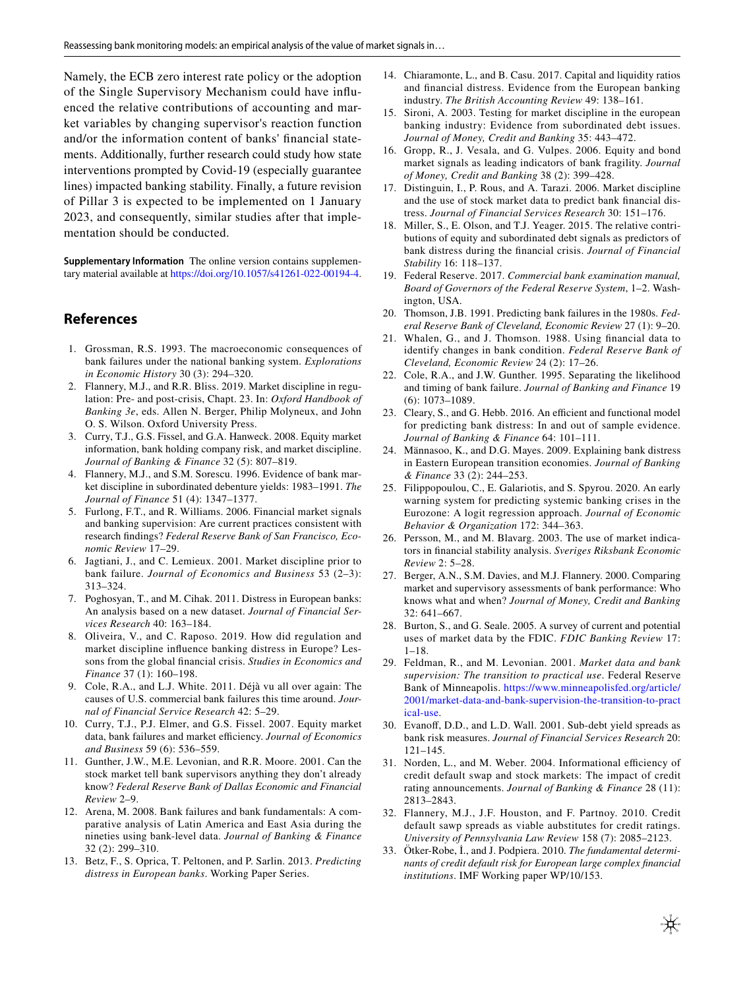Namely, the ECB zero interest rate policy or the adoption of the Single Supervisory Mechanism could have infuenced the relative contributions of accounting and market variables by changing supervisor's reaction function and/or the information content of banks' fnancial statements. Additionally, further research could study how state interventions prompted by Covid-19 (especially guarantee lines) impacted banking stability. Finally, a future revision of Pillar 3 is expected to be implemented on 1 January 2023, and consequently, similar studies after that implementation should be conducted.

**Supplementary Information** The online version contains supplementary material available at<https://doi.org/10.1057/s41261-022-00194-4>.

## **References**

- <span id="page-20-0"></span>1. Grossman, R.S. 1993. The macroeconomic consequences of bank failures under the national banking system. *Explorations in Economic History* 30 (3): 294–320.
- <span id="page-20-1"></span>2. Flannery, M.J., and R.R. Bliss. 2019. Market discipline in regulation: Pre- and post-crisis, Chapt. 23. In: *Oxford Handbook of Banking 3e*, eds. Allen N. Berger, Philip Molyneux, and John O. S. Wilson. Oxford University Press.
- <span id="page-20-2"></span>3. Curry, T.J., G.S. Fissel, and G.A. Hanweck. 2008. Equity market information, bank holding company risk, and market discipline. *Journal of Banking & Finance* 32 (5): 807–819.
- <span id="page-20-25"></span>4. Flannery, M.J., and S.M. Sorescu. 1996. Evidence of bank market discipline in subordinated debenture yields: 1983–1991. *The Journal of Finance* 51 (4): 1347–1377.
- <span id="page-20-24"></span>5. Furlong, F.T., and R. Williams. 2006. Financial market signals and banking supervision: Are current practices consistent with research fndings? *Federal Reserve Bank of San Francisco, Economic Review* 17–29.
- <span id="page-20-27"></span>6. Jagtiani, J., and C. Lemieux. 2001. Market discipline prior to bank failure. *Journal of Economics and Business* 53 (2–3): 313–324.
- <span id="page-20-3"></span>7. Poghosyan, T., and M. Cihak. 2011. Distress in European banks: An analysis based on a new dataset. *Journal of Financial Services Research* 40: 163–184.
- <span id="page-20-4"></span>8. Oliveira, V., and C. Raposo. 2019. How did regulation and market discipline infuence banking distress in Europe? Lessons from the global fnancial crisis. *Studies in Economics and Finance* 37 (1): 160–198.
- <span id="page-20-5"></span>9. Cole, R.A., and L.J. White. 2011. Déjà vu all over again: The causes of U.S. commercial bank failures this time around. *Journal of Financial Service Research* 42: 5–29.
- <span id="page-20-31"></span>10. Curry, T.J., P.J. Elmer, and G.S. Fissel. 2007. Equity market data, bank failures and market efficiency. Journal of Economics *and Business* 59 (6): 536–559.
- <span id="page-20-6"></span>11. Gunther, J.W., M.E. Levonian, and R.R. Moore. 2001. Can the stock market tell bank supervisors anything they don't already know? *Federal Reserve Bank of Dallas Economic and Financial Review* 2–9.
- <span id="page-20-7"></span>12. Arena, M. 2008. Bank failures and bank fundamentals: A comparative analysis of Latin America and East Asia during the nineties using bank-level data. *Journal of Banking & Finance* 32 (2): 299–310.
- <span id="page-20-32"></span>13. Betz, F., S. Oprica, T. Peltonen, and P. Sarlin. 2013. *Predicting distress in European banks*. Working Paper Series.
- <span id="page-20-8"></span>14. Chiaramonte, L., and B. Casu. 2017. Capital and liquidity ratios and fnancial distress. Evidence from the European banking industry. *The British Accounting Review* 49: 138–161.
- <span id="page-20-9"></span>15. Sironi, A. 2003. Testing for market discipline in the european banking industry: Evidence from subordinated debt issues. *Journal of Money, Credit and Banking* 35: 443–472.
- <span id="page-20-10"></span>16. Gropp, R., J. Vesala, and G. Vulpes. 2006. Equity and bond market signals as leading indicators of bank fragility. *Journal of Money, Credit and Banking* 38 (2): 399–428.
- <span id="page-20-11"></span>17. Distinguin, I., P. Rous, and A. Tarazi. 2006. Market discipline and the use of stock market data to predict bank fnancial distress. *Journal of Financial Services Research* 30: 151–176.
- <span id="page-20-12"></span>18. Miller, S., E. Olson, and T.J. Yeager. 2015. The relative contributions of equity and subordinated debt signals as predictors of bank distress during the fnancial crisis. *Journal of Financial Stability* 16: 118–137.
- <span id="page-20-13"></span>19. Federal Reserve. 2017. *Commercial bank examination manual, Board of Governors of the Federal Reserve System*, 1–2. Washington, USA.
- <span id="page-20-14"></span>20. Thomson, J.B. 1991. Predicting bank failures in the 1980s. *Federal Reserve Bank of Cleveland, Economic Review* 27 (1): 9–20.
- <span id="page-20-15"></span>21. Whalen, G., and J. Thomson. 1988. Using fnancial data to identify changes in bank condition. *Federal Reserve Bank of Cleveland, Economic Review* 24 (2): 17–26.
- <span id="page-20-16"></span>22. Cole, R.A., and J.W. Gunther. 1995. Separating the likelihood and timing of bank failure. *Journal of Banking and Finance* 19 (6): 1073–1089.
- <span id="page-20-17"></span>23. Cleary, S., and G. Hebb. 2016. An efficient and functional model for predicting bank distress: In and out of sample evidence. *Journal of Banking & Finance* 64: 101–111.
- <span id="page-20-18"></span>24. Männasoo, K., and D.G. Mayes. 2009. Explaining bank distress in Eastern European transition economies. *Journal of Banking & Finance* 33 (2): 244–253.
- <span id="page-20-19"></span>25. Filippopoulou, C., E. Galariotis, and S. Spyrou. 2020. An early warning system for predicting systemic banking crises in the Eurozone: A logit regression approach. *Journal of Economic Behavior & Organization* 172: 344–363.
- <span id="page-20-20"></span>26. Persson, M., and M. Blavarg. 2003. The use of market indicators in fnancial stability analysis. *Sveriges Riksbank Economic Review* 2: 5–28.
- <span id="page-20-21"></span>27. Berger, A.N., S.M. Davies, and M.J. Flannery. 2000. Comparing market and supervisory assessments of bank performance: Who knows what and when? *Journal of Money, Credit and Banking* 32: 641–667.
- <span id="page-20-22"></span>28. Burton, S., and G. Seale. 2005. A survey of current and potential uses of market data by the FDIC. *FDIC Banking Review* 17: 1–18.
- <span id="page-20-23"></span>29. Feldman, R., and M. Levonian. 2001. *Market data and bank supervision: The transition to practical use*. Federal Reserve Bank of Minneapolis. [https://www.minneapolisfed.org/article/](https://www.minneapolisfed.org/article/2001/market-data-and-bank-supervision-the-transition-to-practical-use) [2001/market-data-and-bank-supervision-the-transition-to-pract](https://www.minneapolisfed.org/article/2001/market-data-and-bank-supervision-the-transition-to-practical-use) [ical-use.](https://www.minneapolisfed.org/article/2001/market-data-and-bank-supervision-the-transition-to-practical-use)
- <span id="page-20-26"></span>30. Evanof, D.D., and L.D. Wall. 2001. Sub-debt yield spreads as bank risk measures. *Journal of Financial Services Research* 20: 121–145.
- <span id="page-20-28"></span>31. Norden, L., and M. Weber. 2004. Informational efficiency of credit default swap and stock markets: The impact of credit rating announcements. *Journal of Banking & Finance* 28 (11): 2813–2843.
- <span id="page-20-29"></span>32. Flannery, M.J., J.F. Houston, and F. Partnoy. 2010. Credit default sawp spreads as viable aubstitutes for credit ratings. *University of Pennsylvania Law Review* 158 (7): 2085–2123.
- <span id="page-20-30"></span>33. Ötker-Robe, İ., and J. Podpiera. 2010. *The fundamental determinants of credit default risk for European large complex fnancial institutions*. IMF Working paper WP/10/153.